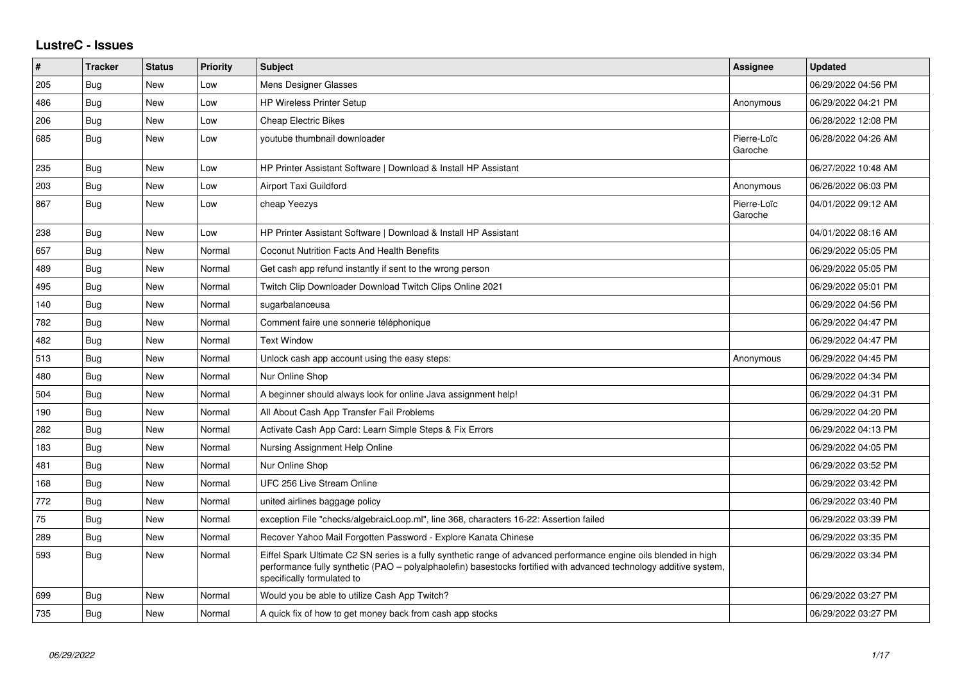## **LustreC - Issues**

| #   | <b>Tracker</b> | <b>Status</b> | <b>Priority</b> | <b>Subject</b>                                                                                                                                                                                                                                                        | <b>Assignee</b>        | <b>Updated</b>      |
|-----|----------------|---------------|-----------------|-----------------------------------------------------------------------------------------------------------------------------------------------------------------------------------------------------------------------------------------------------------------------|------------------------|---------------------|
| 205 | <b>Bug</b>     | New           | Low             | Mens Designer Glasses                                                                                                                                                                                                                                                 |                        | 06/29/2022 04:56 PM |
| 486 | Bug            | <b>New</b>    | Low             | <b>HP Wireless Printer Setup</b>                                                                                                                                                                                                                                      | Anonymous              | 06/29/2022 04:21 PM |
| 206 | Bug            | <b>New</b>    | Low             | <b>Cheap Electric Bikes</b>                                                                                                                                                                                                                                           |                        | 06/28/2022 12:08 PM |
| 685 | <b>Bug</b>     | <b>New</b>    | Low             | youtube thumbnail downloader                                                                                                                                                                                                                                          | Pierre-Loïc<br>Garoche | 06/28/2022 04:26 AM |
| 235 | <b>Bug</b>     | <b>New</b>    | Low             | HP Printer Assistant Software   Download & Install HP Assistant                                                                                                                                                                                                       |                        | 06/27/2022 10:48 AM |
| 203 | Bug            | <b>New</b>    | Low             | <b>Airport Taxi Guildford</b>                                                                                                                                                                                                                                         | Anonymous              | 06/26/2022 06:03 PM |
| 867 | <b>Bug</b>     | <b>New</b>    | Low             | cheap Yeezys                                                                                                                                                                                                                                                          | Pierre-Loïc<br>Garoche | 04/01/2022 09:12 AM |
| 238 | Bug            | New           | Low             | HP Printer Assistant Software   Download & Install HP Assistant                                                                                                                                                                                                       |                        | 04/01/2022 08:16 AM |
| 657 | Bug            | <b>New</b>    | Normal          | <b>Coconut Nutrition Facts And Health Benefits</b>                                                                                                                                                                                                                    |                        | 06/29/2022 05:05 PM |
| 489 | Bug            | <b>New</b>    | Normal          | Get cash app refund instantly if sent to the wrong person                                                                                                                                                                                                             |                        | 06/29/2022 05:05 PM |
| 495 | Bug            | <b>New</b>    | Normal          | Twitch Clip Downloader Download Twitch Clips Online 2021                                                                                                                                                                                                              |                        | 06/29/2022 05:01 PM |
| 140 | Bug            | New           | Normal          | sugarbalanceusa                                                                                                                                                                                                                                                       |                        | 06/29/2022 04:56 PM |
| 782 | Bug            | <b>New</b>    | Normal          | Comment faire une sonnerie téléphonique                                                                                                                                                                                                                               |                        | 06/29/2022 04:47 PM |
| 482 | Bug            | <b>New</b>    | Normal          | <b>Text Window</b>                                                                                                                                                                                                                                                    |                        | 06/29/2022 04:47 PM |
| 513 | Bug            | <b>New</b>    | Normal          | Unlock cash app account using the easy steps:                                                                                                                                                                                                                         | Anonymous              | 06/29/2022 04:45 PM |
| 480 | Bug            | New           | Normal          | Nur Online Shop                                                                                                                                                                                                                                                       |                        | 06/29/2022 04:34 PM |
| 504 | Bug            | New           | Normal          | A beginner should always look for online Java assignment help!                                                                                                                                                                                                        |                        | 06/29/2022 04:31 PM |
| 190 | Bug            | <b>New</b>    | Normal          | All About Cash App Transfer Fail Problems                                                                                                                                                                                                                             |                        | 06/29/2022 04:20 PM |
| 282 | Bug            | <b>New</b>    | Normal          | Activate Cash App Card: Learn Simple Steps & Fix Errors                                                                                                                                                                                                               |                        | 06/29/2022 04:13 PM |
| 183 | Bug            | New           | Normal          | Nursing Assignment Help Online                                                                                                                                                                                                                                        |                        | 06/29/2022 04:05 PM |
| 481 | Bug            | New           | Normal          | Nur Online Shop                                                                                                                                                                                                                                                       |                        | 06/29/2022 03:52 PM |
| 168 | Bug            | New           | Normal          | UFC 256 Live Stream Online                                                                                                                                                                                                                                            |                        | 06/29/2022 03:42 PM |
| 772 | Bug            | New           | Normal          | united airlines baggage policy                                                                                                                                                                                                                                        |                        | 06/29/2022 03:40 PM |
| 75  | <b>Bug</b>     | New           | Normal          | exception File "checks/algebraicLoop.ml", line 368, characters 16-22: Assertion failed                                                                                                                                                                                |                        | 06/29/2022 03:39 PM |
| 289 | Bug            | New           | Normal          | Recover Yahoo Mail Forgotten Password - Explore Kanata Chinese                                                                                                                                                                                                        |                        | 06/29/2022 03:35 PM |
| 593 | <b>Bug</b>     | New           | Normal          | Eiffel Spark Ultimate C2 SN series is a fully synthetic range of advanced performance engine oils blended in high<br>performance fully synthetic (PAO - polyalphaolefin) basestocks fortified with advanced technology additive system,<br>specifically formulated to |                        | 06/29/2022 03:34 PM |
| 699 | Bug            | New           | Normal          | Would you be able to utilize Cash App Twitch?                                                                                                                                                                                                                         |                        | 06/29/2022 03:27 PM |
| 735 | Bug            | <b>New</b>    | Normal          | A quick fix of how to get money back from cash app stocks                                                                                                                                                                                                             |                        | 06/29/2022 03:27 PM |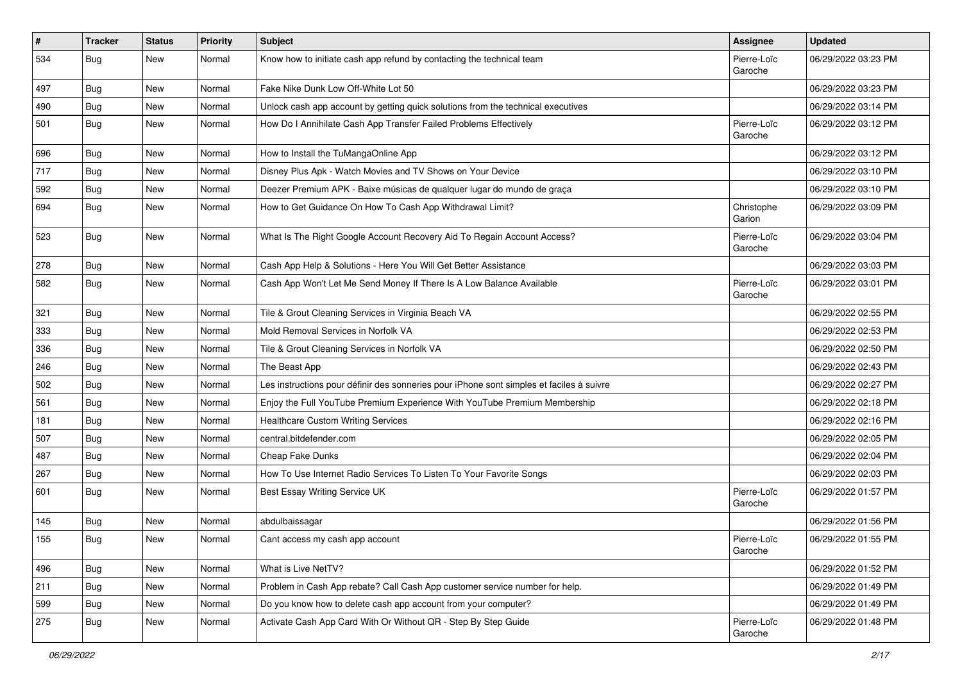| $\pmb{\#}$ | <b>Tracker</b> | <b>Status</b> | <b>Priority</b> | <b>Subject</b>                                                                           | <b>Assignee</b>        | <b>Updated</b>      |
|------------|----------------|---------------|-----------------|------------------------------------------------------------------------------------------|------------------------|---------------------|
| 534        | <b>Bug</b>     | New           | Normal          | Know how to initiate cash app refund by contacting the technical team                    | Pierre-Loïc<br>Garoche | 06/29/2022 03:23 PM |
| 497        | <b>Bug</b>     | New           | Normal          | Fake Nike Dunk Low Off-White Lot 50                                                      |                        | 06/29/2022 03:23 PM |
| 490        | <b>Bug</b>     | New           | Normal          | Unlock cash app account by getting quick solutions from the technical executives         |                        | 06/29/2022 03:14 PM |
| 501        | Bug            | <b>New</b>    | Normal          | How Do I Annihilate Cash App Transfer Failed Problems Effectively                        | Pierre-Loïc<br>Garoche | 06/29/2022 03:12 PM |
| 696        | Bug            | New           | Normal          | How to Install the TuMangaOnline App                                                     |                        | 06/29/2022 03:12 PM |
| 717        | <b>Bug</b>     | New           | Normal          | Disney Plus Apk - Watch Movies and TV Shows on Your Device                               |                        | 06/29/2022 03:10 PM |
| 592        | Bug            | <b>New</b>    | Normal          | Deezer Premium APK - Baixe músicas de qualquer lugar do mundo de graça                   |                        | 06/29/2022 03:10 PM |
| 694        | <b>Bug</b>     | New           | Normal          | How to Get Guidance On How To Cash App Withdrawal Limit?                                 | Christophe<br>Garion   | 06/29/2022 03:09 PM |
| 523        | <b>Bug</b>     | New           | Normal          | What Is The Right Google Account Recovery Aid To Regain Account Access?                  | Pierre-Loïc<br>Garoche | 06/29/2022 03:04 PM |
| 278        | <b>Bug</b>     | New           | Normal          | Cash App Help & Solutions - Here You Will Get Better Assistance                          |                        | 06/29/2022 03:03 PM |
| 582        | Bug            | New           | Normal          | Cash App Won't Let Me Send Money If There Is A Low Balance Available                     | Pierre-Loïc<br>Garoche | 06/29/2022 03:01 PM |
| 321        | <b>Bug</b>     | New           | Normal          | Tile & Grout Cleaning Services in Virginia Beach VA                                      |                        | 06/29/2022 02:55 PM |
| 333        | <b>Bug</b>     | New           | Normal          | Mold Removal Services in Norfolk VA                                                      |                        | 06/29/2022 02:53 PM |
| 336        | <b>Bug</b>     | New           | Normal          | Tile & Grout Cleaning Services in Norfolk VA                                             |                        | 06/29/2022 02:50 PM |
| 246        | <b>Bug</b>     | New           | Normal          | The Beast App                                                                            |                        | 06/29/2022 02:43 PM |
| 502        | Bug            | <b>New</b>    | Normal          | Les instructions pour définir des sonneries pour iPhone sont simples et faciles à suivre |                        | 06/29/2022 02:27 PM |
| 561        | <b>Bug</b>     | New           | Normal          | Enjoy the Full YouTube Premium Experience With YouTube Premium Membership                |                        | 06/29/2022 02:18 PM |
| 181        | Bug            | New           | Normal          | <b>Healthcare Custom Writing Services</b>                                                |                        | 06/29/2022 02:16 PM |
| 507        | Bug            | New           | Normal          | central.bitdefender.com                                                                  |                        | 06/29/2022 02:05 PM |
| 487        | <b>Bug</b>     | New           | Normal          | Cheap Fake Dunks                                                                         |                        | 06/29/2022 02:04 PM |
| 267        | Bug            | <b>New</b>    | Normal          | How To Use Internet Radio Services To Listen To Your Favorite Songs                      |                        | 06/29/2022 02:03 PM |
| 601        | <b>Bug</b>     | New           | Normal          | Best Essay Writing Service UK                                                            | Pierre-Loïc<br>Garoche | 06/29/2022 01:57 PM |
| 145        | <b>Bug</b>     | <b>New</b>    | Normal          | abdulbaissagar                                                                           |                        | 06/29/2022 01:56 PM |
| 155        | Bug            | New           | Normal          | Cant access my cash app account                                                          | Pierre-Loïc<br>Garoche | 06/29/2022 01:55 PM |
| 496        | <b>Bug</b>     | New           | Normal          | What is Live NetTV?                                                                      |                        | 06/29/2022 01:52 PM |
| 211        | <b>Bug</b>     | New           | Normal          | Problem in Cash App rebate? Call Cash App customer service number for help.              |                        | 06/29/2022 01:49 PM |
| 599        | <b>Bug</b>     | New           | Normal          | Do you know how to delete cash app account from your computer?                           |                        | 06/29/2022 01:49 PM |
| 275        | Bug            | New           | Normal          | Activate Cash App Card With Or Without QR - Step By Step Guide                           | Pierre-Loïc<br>Garoche | 06/29/2022 01:48 PM |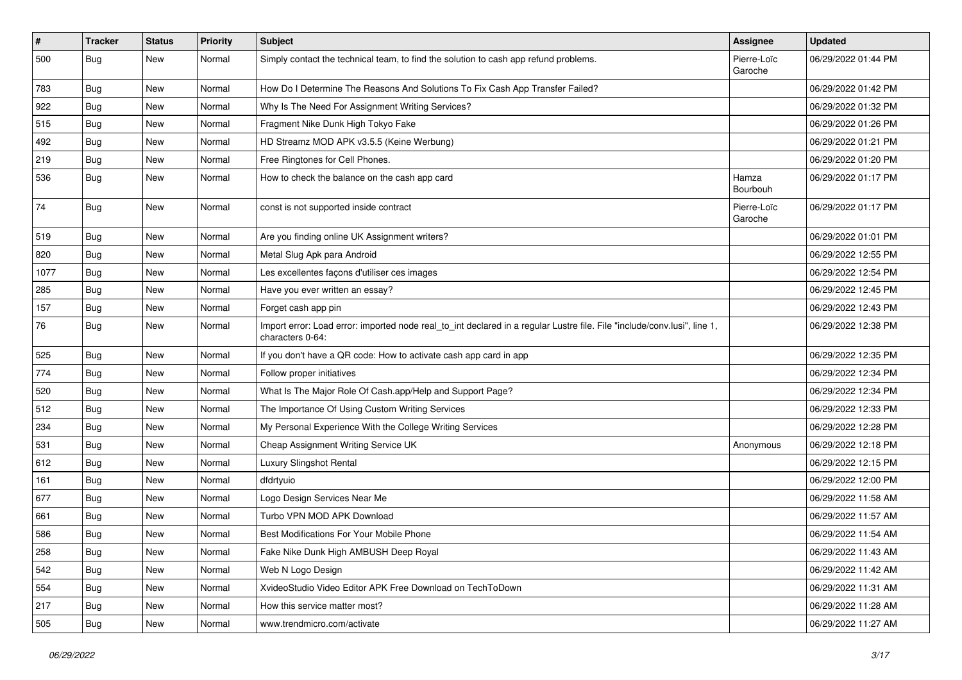| $\vert$ # | <b>Tracker</b> | <b>Status</b> | Priority | <b>Subject</b>                                                                                                                               | <b>Assignee</b>        | <b>Updated</b>      |
|-----------|----------------|---------------|----------|----------------------------------------------------------------------------------------------------------------------------------------------|------------------------|---------------------|
| 500       | <b>Bug</b>     | New           | Normal   | Simply contact the technical team, to find the solution to cash app refund problems.                                                         | Pierre-Loïc<br>Garoche | 06/29/2022 01:44 PM |
| 783       | <b>Bug</b>     | New           | Normal   | How Do I Determine The Reasons And Solutions To Fix Cash App Transfer Failed?                                                                |                        | 06/29/2022 01:42 PM |
| 922       | <b>Bug</b>     | New           | Normal   | Why Is The Need For Assignment Writing Services?                                                                                             |                        | 06/29/2022 01:32 PM |
| 515       | Bug            | New           | Normal   | Fragment Nike Dunk High Tokyo Fake                                                                                                           |                        | 06/29/2022 01:26 PM |
| 492       | <b>Bug</b>     | New           | Normal   | HD Streamz MOD APK v3.5.5 (Keine Werbung)                                                                                                    |                        | 06/29/2022 01:21 PM |
| 219       | Bug            | New           | Normal   | Free Ringtones for Cell Phones.                                                                                                              |                        | 06/29/2022 01:20 PM |
| 536       | <b>Bug</b>     | New           | Normal   | How to check the balance on the cash app card                                                                                                | Hamza<br>Bourbouh      | 06/29/2022 01:17 PM |
| 74        | <b>Bug</b>     | New           | Normal   | const is not supported inside contract                                                                                                       | Pierre-Loïc<br>Garoche | 06/29/2022 01:17 PM |
| 519       | <b>Bug</b>     | New           | Normal   | Are you finding online UK Assignment writers?                                                                                                |                        | 06/29/2022 01:01 PM |
| 820       | <b>Bug</b>     | New           | Normal   | Metal Slug Apk para Android                                                                                                                  |                        | 06/29/2022 12:55 PM |
| 1077      | <b>Bug</b>     | New           | Normal   | Les excellentes façons d'utiliser ces images                                                                                                 |                        | 06/29/2022 12:54 PM |
| 285       | <b>Bug</b>     | New           | Normal   | Have you ever written an essay?                                                                                                              |                        | 06/29/2022 12:45 PM |
| 157       | <b>Bug</b>     | <b>New</b>    | Normal   | Forget cash app pin                                                                                                                          |                        | 06/29/2022 12:43 PM |
| 76        | <b>Bug</b>     | New           | Normal   | Import error: Load error: imported node real_to_int declared in a regular Lustre file. File "include/conv.lusi", line 1,<br>characters 0-64: |                        | 06/29/2022 12:38 PM |
| 525       | <b>Bug</b>     | New           | Normal   | If you don't have a QR code: How to activate cash app card in app                                                                            |                        | 06/29/2022 12:35 PM |
| 774       | <b>Bug</b>     | New           | Normal   | Follow proper initiatives                                                                                                                    |                        | 06/29/2022 12:34 PM |
| 520       | Bug            | New           | Normal   | What Is The Major Role Of Cash.app/Help and Support Page?                                                                                    |                        | 06/29/2022 12:34 PM |
| 512       | <b>Bug</b>     | New           | Normal   | The Importance Of Using Custom Writing Services                                                                                              |                        | 06/29/2022 12:33 PM |
| 234       | Bug            | New           | Normal   | My Personal Experience With the College Writing Services                                                                                     |                        | 06/29/2022 12:28 PM |
| 531       | <b>Bug</b>     | New           | Normal   | Cheap Assignment Writing Service UK                                                                                                          | Anonymous              | 06/29/2022 12:18 PM |
| 612       | <b>Bug</b>     | New           | Normal   | Luxury Slingshot Rental                                                                                                                      |                        | 06/29/2022 12:15 PM |
| 161       | Bug            | New           | Normal   | dfdrtyuio                                                                                                                                    |                        | 06/29/2022 12:00 PM |
| 677       | <b>Bug</b>     | New           | Normal   | Logo Design Services Near Me                                                                                                                 |                        | 06/29/2022 11:58 AM |
| 661       | Bug            | New           | Normal   | Turbo VPN MOD APK Download                                                                                                                   |                        | 06/29/2022 11:57 AM |
| 586       | <b>Bug</b>     | New           | Normal   | <b>Best Modifications For Your Mobile Phone</b>                                                                                              |                        | 06/29/2022 11:54 AM |
| 258       | Bug            | New           | Normal   | Fake Nike Dunk High AMBUSH Deep Royal                                                                                                        |                        | 06/29/2022 11:43 AM |
| 542       | Bug            | New           | Normal   | Web N Logo Design                                                                                                                            |                        | 06/29/2022 11:42 AM |
| 554       | <b>Bug</b>     | New           | Normal   | XvideoStudio Video Editor APK Free Download on TechToDown                                                                                    |                        | 06/29/2022 11:31 AM |
| 217       | <b>Bug</b>     | New           | Normal   | How this service matter most?                                                                                                                |                        | 06/29/2022 11:28 AM |
| 505       | <b>Bug</b>     | New           | Normal   | www.trendmicro.com/activate                                                                                                                  |                        | 06/29/2022 11:27 AM |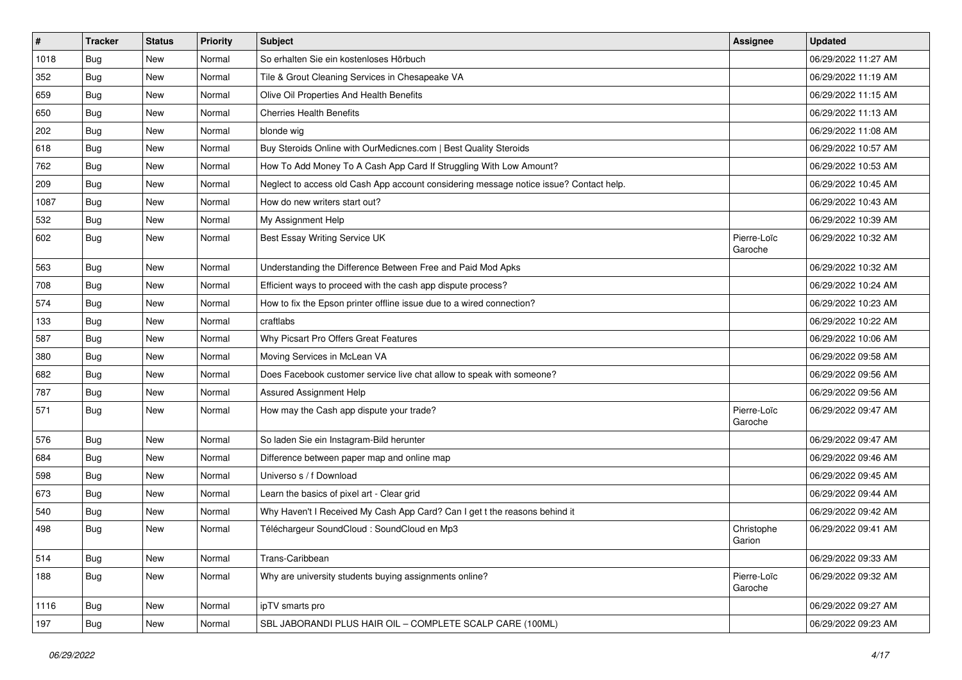| $\vert$ # | <b>Tracker</b> | <b>Status</b> | Priority | <b>Subject</b>                                                                         | <b>Assignee</b>        | <b>Updated</b>      |
|-----------|----------------|---------------|----------|----------------------------------------------------------------------------------------|------------------------|---------------------|
| 1018      | <b>Bug</b>     | New           | Normal   | So erhalten Sie ein kostenloses Hörbuch                                                |                        | 06/29/2022 11:27 AM |
| 352       | Bug            | <b>New</b>    | Normal   | Tile & Grout Cleaning Services in Chesapeake VA                                        |                        | 06/29/2022 11:19 AM |
| 659       | <b>Bug</b>     | New           | Normal   | Olive Oil Properties And Health Benefits                                               |                        | 06/29/2022 11:15 AM |
| 650       | <b>Bug</b>     | New           | Normal   | <b>Cherries Health Benefits</b>                                                        |                        | 06/29/2022 11:13 AM |
| 202       | <b>Bug</b>     | <b>New</b>    | Normal   | blonde wig                                                                             |                        | 06/29/2022 11:08 AM |
| 618       | <b>Bug</b>     | New           | Normal   | Buy Steroids Online with OurMedicnes.com   Best Quality Steroids                       |                        | 06/29/2022 10:57 AM |
| 762       | <b>Bug</b>     | New           | Normal   | How To Add Money To A Cash App Card If Struggling With Low Amount?                     |                        | 06/29/2022 10:53 AM |
| 209       | <b>Bug</b>     | New           | Normal   | Neglect to access old Cash App account considering message notice issue? Contact help. |                        | 06/29/2022 10:45 AM |
| 1087      | <b>Bug</b>     | New           | Normal   | How do new writers start out?                                                          |                        | 06/29/2022 10:43 AM |
| 532       | Bug            | <b>New</b>    | Normal   | My Assignment Help                                                                     |                        | 06/29/2022 10:39 AM |
| 602       | Bug            | New           | Normal   | Best Essay Writing Service UK                                                          | Pierre-Loïc<br>Garoche | 06/29/2022 10:32 AM |
| 563       | <b>Bug</b>     | <b>New</b>    | Normal   | Understanding the Difference Between Free and Paid Mod Apks                            |                        | 06/29/2022 10:32 AM |
| 708       | <b>Bug</b>     | New           | Normal   | Efficient ways to proceed with the cash app dispute process?                           |                        | 06/29/2022 10:24 AM |
| 574       | Bug            | New           | Normal   | How to fix the Epson printer offline issue due to a wired connection?                  |                        | 06/29/2022 10:23 AM |
| 133       | <b>Bug</b>     | New           | Normal   | craftlabs                                                                              |                        | 06/29/2022 10:22 AM |
| 587       | Bug            | New           | Normal   | Why Picsart Pro Offers Great Features                                                  |                        | 06/29/2022 10:06 AM |
| 380       | Bug            | <b>New</b>    | Normal   | Moving Services in McLean VA                                                           |                        | 06/29/2022 09:58 AM |
| 682       | <b>Bug</b>     | New           | Normal   | Does Facebook customer service live chat allow to speak with someone?                  |                        | 06/29/2022 09:56 AM |
| 787       | <b>Bug</b>     | New           | Normal   | Assured Assignment Help                                                                |                        | 06/29/2022 09:56 AM |
| 571       | Bug            | New           | Normal   | How may the Cash app dispute your trade?                                               | Pierre-Loïc<br>Garoche | 06/29/2022 09:47 AM |
| 576       | Bug            | <b>New</b>    | Normal   | So laden Sie ein Instagram-Bild herunter                                               |                        | 06/29/2022 09:47 AM |
| 684       | <b>Bug</b>     | New           | Normal   | Difference between paper map and online map                                            |                        | 06/29/2022 09:46 AM |
| 598       | Bug            | New           | Normal   | Universo s / f Download                                                                |                        | 06/29/2022 09:45 AM |
| 673       | Bug            | <b>New</b>    | Normal   | Learn the basics of pixel art - Clear grid                                             |                        | 06/29/2022 09:44 AM |
| 540       | <b>Bug</b>     | New           | Normal   | Why Haven't I Received My Cash App Card? Can I get t the reasons behind it             |                        | 06/29/2022 09:42 AM |
| 498       | Bug            | New           | Normal   | Téléchargeur SoundCloud : SoundCloud en Mp3                                            | Christophe<br>Garion   | 06/29/2022 09:41 AM |
| 514       | Bug            | <b>New</b>    | Normal   | Trans-Caribbean                                                                        |                        | 06/29/2022 09:33 AM |
| 188       | <b>Bug</b>     | New           | Normal   | Why are university students buying assignments online?                                 | Pierre-Loïc<br>Garoche | 06/29/2022 09:32 AM |
| 1116      | <b>Bug</b>     | New           | Normal   | ipTV smarts pro                                                                        |                        | 06/29/2022 09:27 AM |
| 197       | <b>Bug</b>     | New           | Normal   | SBL JABORANDI PLUS HAIR OIL - COMPLETE SCALP CARE (100ML)                              |                        | 06/29/2022 09:23 AM |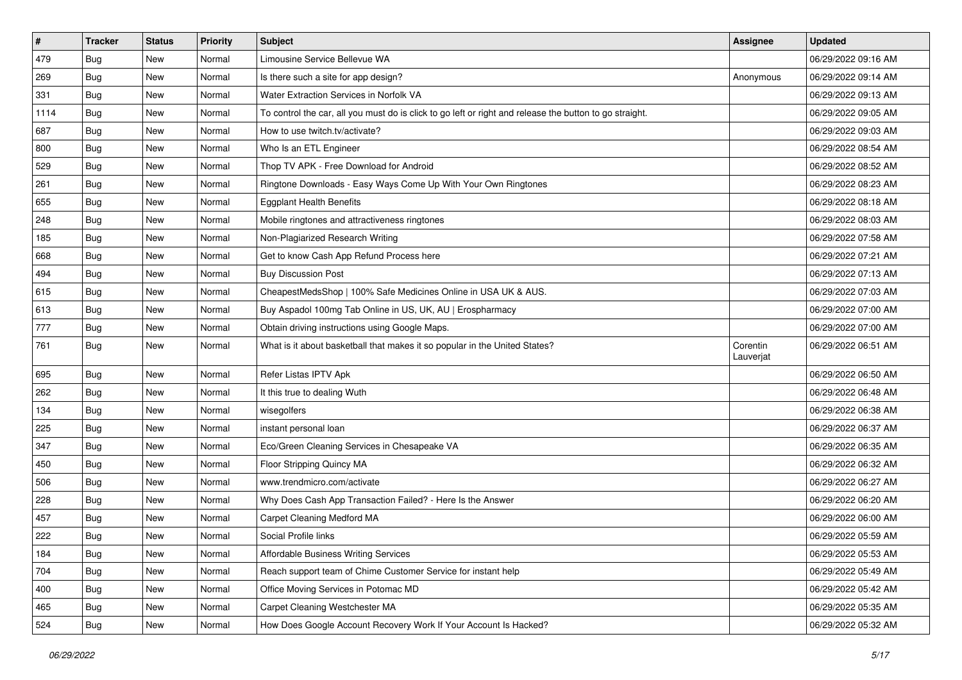| $\vert$ # | <b>Tracker</b> | <b>Status</b> | Priority | <b>Subject</b>                                                                                          | <b>Assignee</b>       | <b>Updated</b>      |
|-----------|----------------|---------------|----------|---------------------------------------------------------------------------------------------------------|-----------------------|---------------------|
| 479       | Bug            | New           | Normal   | Limousine Service Bellevue WA                                                                           |                       | 06/29/2022 09:16 AM |
| 269       | <b>Bug</b>     | <b>New</b>    | Normal   | Is there such a site for app design?                                                                    | Anonymous             | 06/29/2022 09:14 AM |
| 331       | <b>Bug</b>     | New           | Normal   | Water Extraction Services in Norfolk VA                                                                 |                       | 06/29/2022 09:13 AM |
| 1114      | <b>Bug</b>     | New           | Normal   | To control the car, all you must do is click to go left or right and release the button to go straight. |                       | 06/29/2022 09:05 AM |
| 687       | <b>Bug</b>     | <b>New</b>    | Normal   | How to use twitch.tv/activate?                                                                          |                       | 06/29/2022 09:03 AM |
| 800       | Bug            | New           | Normal   | Who Is an ETL Engineer                                                                                  |                       | 06/29/2022 08:54 AM |
| 529       | <b>Bug</b>     | New           | Normal   | Thop TV APK - Free Download for Android                                                                 |                       | 06/29/2022 08:52 AM |
| 261       | <b>Bug</b>     | New           | Normal   | Ringtone Downloads - Easy Ways Come Up With Your Own Ringtones                                          |                       | 06/29/2022 08:23 AM |
| 655       | <b>Bug</b>     | New           | Normal   | <b>Eggplant Health Benefits</b>                                                                         |                       | 06/29/2022 08:18 AM |
| 248       | Bug            | <b>New</b>    | Normal   | Mobile ringtones and attractiveness ringtones                                                           |                       | 06/29/2022 08:03 AM |
| 185       | Bug            | New           | Normal   | Non-Plagiarized Research Writing                                                                        |                       | 06/29/2022 07:58 AM |
| 668       | <b>Bug</b>     | New           | Normal   | Get to know Cash App Refund Process here                                                                |                       | 06/29/2022 07:21 AM |
| 494       | <b>Bug</b>     | New           | Normal   | <b>Buy Discussion Post</b>                                                                              |                       | 06/29/2022 07:13 AM |
| 615       | <b>Bug</b>     | New           | Normal   | CheapestMedsShop   100% Safe Medicines Online in USA UK & AUS.                                          |                       | 06/29/2022 07:03 AM |
| 613       | Bug            | <b>New</b>    | Normal   | Buy Aspadol 100mg Tab Online in US, UK, AU   Erospharmacy                                               |                       | 06/29/2022 07:00 AM |
| 777       | <b>Bug</b>     | New           | Normal   | Obtain driving instructions using Google Maps.                                                          |                       | 06/29/2022 07:00 AM |
| 761       | <b>Bug</b>     | New           | Normal   | What is it about basketball that makes it so popular in the United States?                              | Corentin<br>Lauverjat | 06/29/2022 06:51 AM |
| 695       | <b>Bug</b>     | <b>New</b>    | Normal   | Refer Listas IPTV Apk                                                                                   |                       | 06/29/2022 06:50 AM |
| 262       | <b>Bug</b>     | New           | Normal   | It this true to dealing Wuth                                                                            |                       | 06/29/2022 06:48 AM |
| 134       | <b>Bug</b>     | New           | Normal   | wisegolfers                                                                                             |                       | 06/29/2022 06:38 AM |
| 225       | <b>Bug</b>     | New           | Normal   | instant personal loan                                                                                   |                       | 06/29/2022 06:37 AM |
| 347       | Bug            | <b>New</b>    | Normal   | Eco/Green Cleaning Services in Chesapeake VA                                                            |                       | 06/29/2022 06:35 AM |
| 450       | <b>Bug</b>     | New           | Normal   | Floor Stripping Quincy MA                                                                               |                       | 06/29/2022 06:32 AM |
| 506       | Bug            | New           | Normal   | www.trendmicro.com/activate                                                                             |                       | 06/29/2022 06:27 AM |
| 228       | <b>Bug</b>     | New           | Normal   | Why Does Cash App Transaction Failed? - Here Is the Answer                                              |                       | 06/29/2022 06:20 AM |
| 457       | Bug            | New           | Normal   | Carpet Cleaning Medford MA                                                                              |                       | 06/29/2022 06:00 AM |
| 222       | <b>Bug</b>     | New           | Normal   | Social Profile links                                                                                    |                       | 06/29/2022 05:59 AM |
| 184       | Bug            | New           | Normal   | Affordable Business Writing Services                                                                    |                       | 06/29/2022 05:53 AM |
| 704       | <b>Bug</b>     | New           | Normal   | Reach support team of Chime Customer Service for instant help                                           |                       | 06/29/2022 05:49 AM |
| 400       | Bug            | New           | Normal   | Office Moving Services in Potomac MD                                                                    |                       | 06/29/2022 05:42 AM |
| 465       | <b>Bug</b>     | New           | Normal   | Carpet Cleaning Westchester MA                                                                          |                       | 06/29/2022 05:35 AM |
| 524       | <b>Bug</b>     | New           | Normal   | How Does Google Account Recovery Work If Your Account Is Hacked?                                        |                       | 06/29/2022 05:32 AM |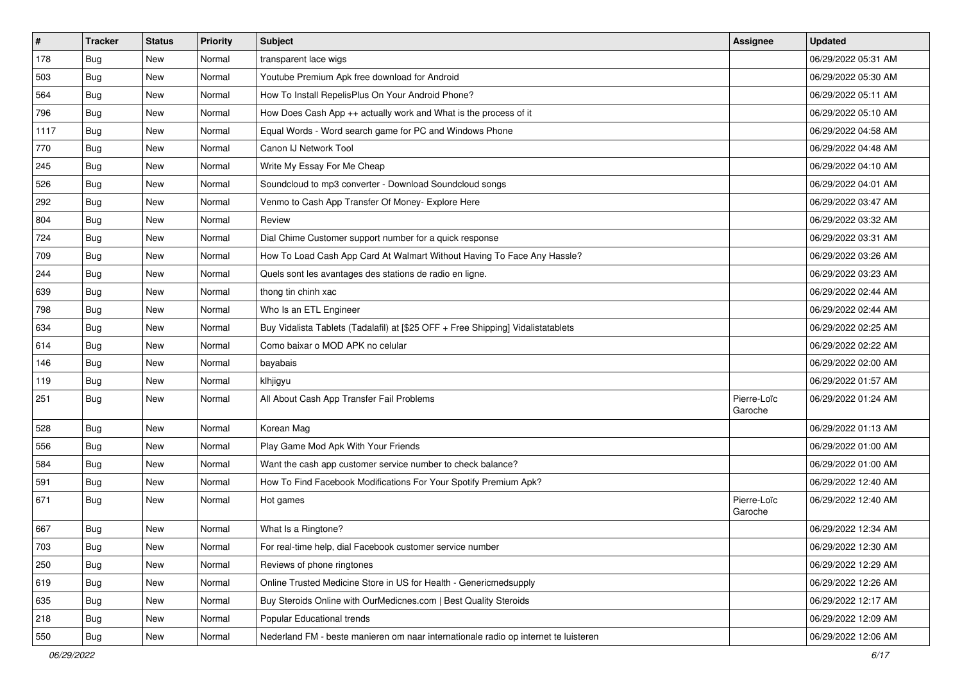| $\vert$ # | <b>Tracker</b> | <b>Status</b> | Priority | <b>Subject</b>                                                                      | <b>Assignee</b>        | <b>Updated</b>      |
|-----------|----------------|---------------|----------|-------------------------------------------------------------------------------------|------------------------|---------------------|
| 178       | <b>Bug</b>     | New           | Normal   | transparent lace wigs                                                               |                        | 06/29/2022 05:31 AM |
| 503       | <b>Bug</b>     | New           | Normal   | Youtube Premium Apk free download for Android                                       |                        | 06/29/2022 05:30 AM |
| 564       | <b>Bug</b>     | New           | Normal   | How To Install RepelisPlus On Your Android Phone?                                   |                        | 06/29/2022 05:11 AM |
| 796       | <b>Bug</b>     | New           | Normal   | How Does Cash App ++ actually work and What is the process of it                    |                        | 06/29/2022 05:10 AM |
| 1117      | <b>Bug</b>     | <b>New</b>    | Normal   | Equal Words - Word search game for PC and Windows Phone                             |                        | 06/29/2022 04:58 AM |
| 770       | <b>Bug</b>     | New           | Normal   | Canon IJ Network Tool                                                               |                        | 06/29/2022 04:48 AM |
| 245       | Bug            | New           | Normal   | Write My Essay For Me Cheap                                                         |                        | 06/29/2022 04:10 AM |
| 526       | <b>Bug</b>     | New           | Normal   | Soundcloud to mp3 converter - Download Soundcloud songs                             |                        | 06/29/2022 04:01 AM |
| 292       | <b>Bug</b>     | New           | Normal   | Venmo to Cash App Transfer Of Money- Explore Here                                   |                        | 06/29/2022 03:47 AM |
| 804       | Bug            | <b>New</b>    | Normal   | Review                                                                              |                        | 06/29/2022 03:32 AM |
| 724       | <b>Bug</b>     | New           | Normal   | Dial Chime Customer support number for a quick response                             |                        | 06/29/2022 03:31 AM |
| 709       | Bug            | New           | Normal   | How To Load Cash App Card At Walmart Without Having To Face Any Hassle?             |                        | 06/29/2022 03:26 AM |
| 244       | Bug            | <b>New</b>    | Normal   | Quels sont les avantages des stations de radio en ligne.                            |                        | 06/29/2022 03:23 AM |
| 639       | <b>Bug</b>     | <b>New</b>    | Normal   | thong tin chinh xac                                                                 |                        | 06/29/2022 02:44 AM |
| 798       | Bug            | New           | Normal   | Who Is an ETL Engineer                                                              |                        | 06/29/2022 02:44 AM |
| 634       | Bug            | New           | Normal   | Buy Vidalista Tablets (Tadalafil) at [\$25 OFF + Free Shipping] Vidalistatablets    |                        | 06/29/2022 02:25 AM |
| 614       | <b>Bug</b>     | New           | Normal   | Como baixar o MOD APK no celular                                                    |                        | 06/29/2022 02:22 AM |
| 146       | Bug            | <b>New</b>    | Normal   | bayabais                                                                            |                        | 06/29/2022 02:00 AM |
| 119       | Bug            | New           | Normal   | klhjigyu                                                                            |                        | 06/29/2022 01:57 AM |
| 251       | <b>Bug</b>     | New           | Normal   | All About Cash App Transfer Fail Problems                                           | Pierre-Loïc<br>Garoche | 06/29/2022 01:24 AM |
| 528       | Bug            | <b>New</b>    | Normal   | Korean Mag                                                                          |                        | 06/29/2022 01:13 AM |
| 556       | Bug            | <b>New</b>    | Normal   | Play Game Mod Apk With Your Friends                                                 |                        | 06/29/2022 01:00 AM |
| 584       | <b>Bug</b>     | New           | Normal   | Want the cash app customer service number to check balance?                         |                        | 06/29/2022 01:00 AM |
| 591       | <b>Bug</b>     | New           | Normal   | How To Find Facebook Modifications For Your Spotify Premium Apk?                    |                        | 06/29/2022 12:40 AM |
| 671       | <b>Bug</b>     | New           | Normal   | Hot games                                                                           | Pierre-Loïc<br>Garoche | 06/29/2022 12:40 AM |
| 667       | <b>Bug</b>     | New           | Normal   | What Is a Ringtone?                                                                 |                        | 06/29/2022 12:34 AM |
| 703       | Bug            | New           | Normal   | For real-time help, dial Facebook customer service number                           |                        | 06/29/2022 12:30 AM |
| 250       | Bug            | New           | Normal   | Reviews of phone ringtones                                                          |                        | 06/29/2022 12:29 AM |
| 619       | Bug            | <b>New</b>    | Normal   | Online Trusted Medicine Store in US for Health - Genericmedsupply                   |                        | 06/29/2022 12:26 AM |
| 635       | <b>Bug</b>     | New           | Normal   | Buy Steroids Online with OurMedicnes.com   Best Quality Steroids                    |                        | 06/29/2022 12:17 AM |
| 218       | <b>Bug</b>     | New           | Normal   | Popular Educational trends                                                          |                        | 06/29/2022 12:09 AM |
| 550       | <b>Bug</b>     | New           | Normal   | Nederland FM - beste manieren om naar internationale radio op internet te luisteren |                        | 06/29/2022 12:06 AM |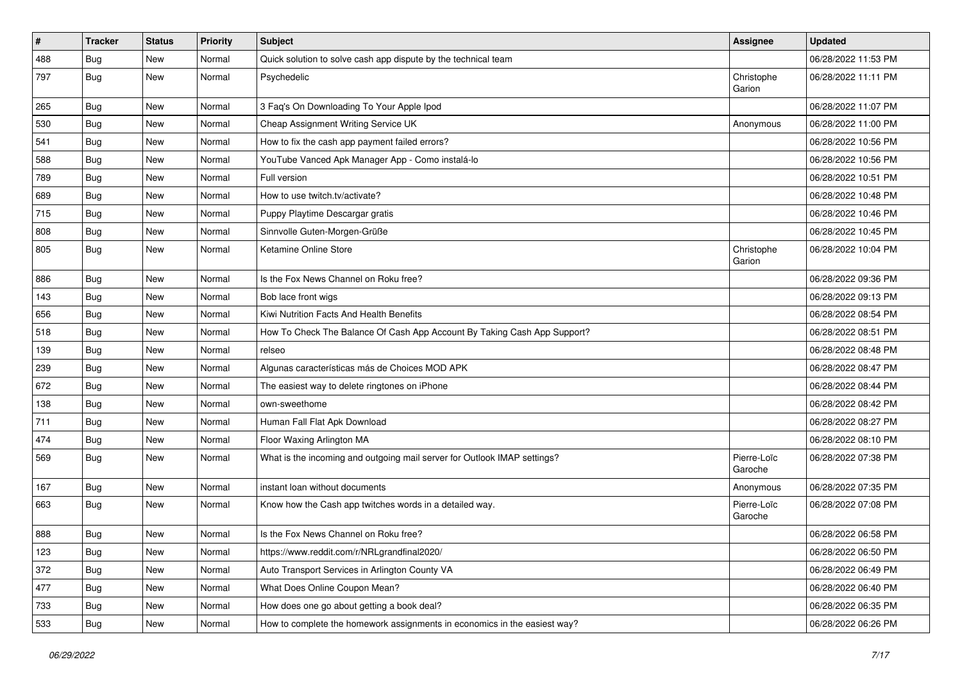| #   | <b>Tracker</b> | <b>Status</b> | Priority | <b>Subject</b>                                                            | <b>Assignee</b>        | <b>Updated</b>      |
|-----|----------------|---------------|----------|---------------------------------------------------------------------------|------------------------|---------------------|
| 488 | <b>Bug</b>     | New           | Normal   | Quick solution to solve cash app dispute by the technical team            |                        | 06/28/2022 11:53 PM |
| 797 | <b>Bug</b>     | New           | Normal   | Psychedelic                                                               | Christophe<br>Garion   | 06/28/2022 11:11 PM |
| 265 | <b>Bug</b>     | New           | Normal   | 3 Faq's On Downloading To Your Apple Ipod                                 |                        | 06/28/2022 11:07 PM |
| 530 | Bug            | <b>New</b>    | Normal   | Cheap Assignment Writing Service UK                                       | Anonymous              | 06/28/2022 11:00 PM |
| 541 | Bug            | New           | Normal   | How to fix the cash app payment failed errors?                            |                        | 06/28/2022 10:56 PM |
| 588 | <b>Bug</b>     | New           | Normal   | YouTube Vanced Apk Manager App - Como instalá-lo                          |                        | 06/28/2022 10:56 PM |
| 789 | <b>Bug</b>     | New           | Normal   | Full version                                                              |                        | 06/28/2022 10:51 PM |
| 689 | <b>Bug</b>     | New           | Normal   | How to use twitch.tv/activate?                                            |                        | 06/28/2022 10:48 PM |
| 715 | <b>Bug</b>     | New           | Normal   | Puppy Playtime Descargar gratis                                           |                        | 06/28/2022 10:46 PM |
| 808 | Bug            | New           | Normal   | Sinnvolle Guten-Morgen-Grüße                                              |                        | 06/28/2022 10:45 PM |
| 805 | <b>Bug</b>     | New           | Normal   | Ketamine Online Store                                                     | Christophe<br>Garion   | 06/28/2022 10:04 PM |
| 886 | <b>Bug</b>     | New           | Normal   | Is the Fox News Channel on Roku free?                                     |                        | 06/28/2022 09:36 PM |
| 143 | Bug            | New           | Normal   | Bob lace front wigs                                                       |                        | 06/28/2022 09:13 PM |
| 656 | Bug            | New           | Normal   | Kiwi Nutrition Facts And Health Benefits                                  |                        | 06/28/2022 08:54 PM |
| 518 | <b>Bug</b>     | New           | Normal   | How To Check The Balance Of Cash App Account By Taking Cash App Support?  |                        | 06/28/2022 08:51 PM |
| 139 | Bug            | <b>New</b>    | Normal   | relseo                                                                    |                        | 06/28/2022 08:48 PM |
| 239 | <b>Bug</b>     | New           | Normal   | Algunas características más de Choices MOD APK                            |                        | 06/28/2022 08:47 PM |
| 672 | <b>Bug</b>     | New           | Normal   | The easiest way to delete ringtones on iPhone                             |                        | 06/28/2022 08:44 PM |
| 138 | <b>Bug</b>     | <b>New</b>    | Normal   | own-sweethome                                                             |                        | 06/28/2022 08:42 PM |
| 711 | Bug            | New           | Normal   | Human Fall Flat Apk Download                                              |                        | 06/28/2022 08:27 PM |
| 474 | <b>Bug</b>     | New           | Normal   | Floor Waxing Arlington MA                                                 |                        | 06/28/2022 08:10 PM |
| 569 | Bug            | New           | Normal   | What is the incoming and outgoing mail server for Outlook IMAP settings?  | Pierre-Loïc<br>Garoche | 06/28/2022 07:38 PM |
| 167 | Bug            | <b>New</b>    | Normal   | instant loan without documents                                            | Anonymous              | 06/28/2022 07:35 PM |
| 663 | <b>Bug</b>     | New           | Normal   | Know how the Cash app twitches words in a detailed way.                   | Pierre-Loïc<br>Garoche | 06/28/2022 07:08 PM |
| 888 | <b>Bug</b>     | New           | Normal   | Is the Fox News Channel on Roku free?                                     |                        | 06/28/2022 06:58 PM |
| 123 | <b>Bug</b>     | New           | Normal   | https://www.reddit.com/r/NRLgrandfinal2020/                               |                        | 06/28/2022 06:50 PM |
| 372 | Bug            | New           | Normal   | Auto Transport Services in Arlington County VA                            |                        | 06/28/2022 06:49 PM |
| 477 | <b>Bug</b>     | New           | Normal   | What Does Online Coupon Mean?                                             |                        | 06/28/2022 06:40 PM |
| 733 | <b>Bug</b>     | New           | Normal   | How does one go about getting a book deal?                                |                        | 06/28/2022 06:35 PM |
| 533 | <b>Bug</b>     | New           | Normal   | How to complete the homework assignments in economics in the easiest way? |                        | 06/28/2022 06:26 PM |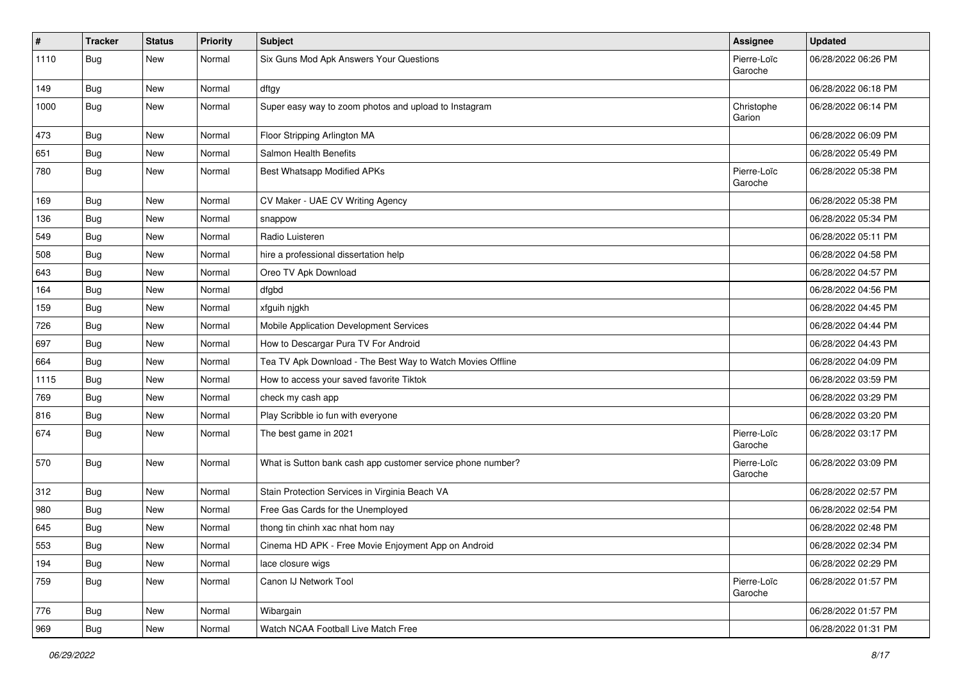| $\vert$ # | <b>Tracker</b> | <b>Status</b> | Priority | <b>Subject</b>                                              | <b>Assignee</b>        | <b>Updated</b>      |
|-----------|----------------|---------------|----------|-------------------------------------------------------------|------------------------|---------------------|
| 1110      | <b>Bug</b>     | New           | Normal   | Six Guns Mod Apk Answers Your Questions                     | Pierre-Loïc<br>Garoche | 06/28/2022 06:26 PM |
| 149       | <b>Bug</b>     | New           | Normal   | dftgy                                                       |                        | 06/28/2022 06:18 PM |
| 1000      | Bug            | New           | Normal   | Super easy way to zoom photos and upload to Instagram       | Christophe<br>Garion   | 06/28/2022 06:14 PM |
| 473       | Bug            | New           | Normal   | Floor Stripping Arlington MA                                |                        | 06/28/2022 06:09 PM |
| 651       | Bug            | New           | Normal   | Salmon Health Benefits                                      |                        | 06/28/2022 05:49 PM |
| 780       | Bug            | New           | Normal   | Best Whatsapp Modified APKs                                 | Pierre-Loïc<br>Garoche | 06/28/2022 05:38 PM |
| 169       | Bug            | <b>New</b>    | Normal   | CV Maker - UAE CV Writing Agency                            |                        | 06/28/2022 05:38 PM |
| 136       | <b>Bug</b>     | New           | Normal   | snappow                                                     |                        | 06/28/2022 05:34 PM |
| 549       | <b>Bug</b>     | New           | Normal   | Radio Luisteren                                             |                        | 06/28/2022 05:11 PM |
| 508       | <b>Bug</b>     | <b>New</b>    | Normal   | hire a professional dissertation help                       |                        | 06/28/2022 04:58 PM |
| 643       | <b>Bug</b>     | New           | Normal   | Oreo TV Apk Download                                        |                        | 06/28/2022 04:57 PM |
| 164       | Bug            | New           | Normal   | dfgbd                                                       |                        | 06/28/2022 04:56 PM |
| 159       | Bug            | New           | Normal   | xfguih nigkh                                                |                        | 06/28/2022 04:45 PM |
| 726       | <b>Bug</b>     | New           | Normal   | Mobile Application Development Services                     |                        | 06/28/2022 04:44 PM |
| 697       | Bug            | <b>New</b>    | Normal   | How to Descargar Pura TV For Android                        |                        | 06/28/2022 04:43 PM |
| 664       | Bug            | New           | Normal   | Tea TV Apk Download - The Best Way to Watch Movies Offline  |                        | 06/28/2022 04:09 PM |
| 1115      | <b>Bug</b>     | New           | Normal   | How to access your saved favorite Tiktok                    |                        | 06/28/2022 03:59 PM |
| 769       | <b>Bug</b>     | New           | Normal   | check my cash app                                           |                        | 06/28/2022 03:29 PM |
| 816       | <b>Bug</b>     | New           | Normal   | Play Scribble io fun with everyone                          |                        | 06/28/2022 03:20 PM |
| 674       | <b>Bug</b>     | New           | Normal   | The best game in 2021                                       | Pierre-Loïc<br>Garoche | 06/28/2022 03:17 PM |
| 570       | <b>Bug</b>     | New           | Normal   | What is Sutton bank cash app customer service phone number? | Pierre-Loïc<br>Garoche | 06/28/2022 03:09 PM |
| 312       | <b>Bug</b>     | New           | Normal   | Stain Protection Services in Virginia Beach VA              |                        | 06/28/2022 02:57 PM |
| 980       | Bug            | New           | Normal   | Free Gas Cards for the Unemployed                           |                        | 06/28/2022 02:54 PM |
| 645       | <b>Bug</b>     | New           | Normal   | thong tin chinh xac nhat hom nay                            |                        | 06/28/2022 02:48 PM |
| 553       | <b>Bug</b>     | New           | Normal   | Cinema HD APK - Free Movie Enjoyment App on Android         |                        | 06/28/2022 02:34 PM |
| 194       | <b>Bug</b>     | <b>New</b>    | Normal   | lace closure wigs                                           |                        | 06/28/2022 02:29 PM |
| 759       | Bug            | New           | Normal   | Canon IJ Network Tool                                       | Pierre-Loïc<br>Garoche | 06/28/2022 01:57 PM |
| 776       | <b>Bug</b>     | New           | Normal   | Wibargain                                                   |                        | 06/28/2022 01:57 PM |
| 969       | Bug            | New           | Normal   | Watch NCAA Football Live Match Free                         |                        | 06/28/2022 01:31 PM |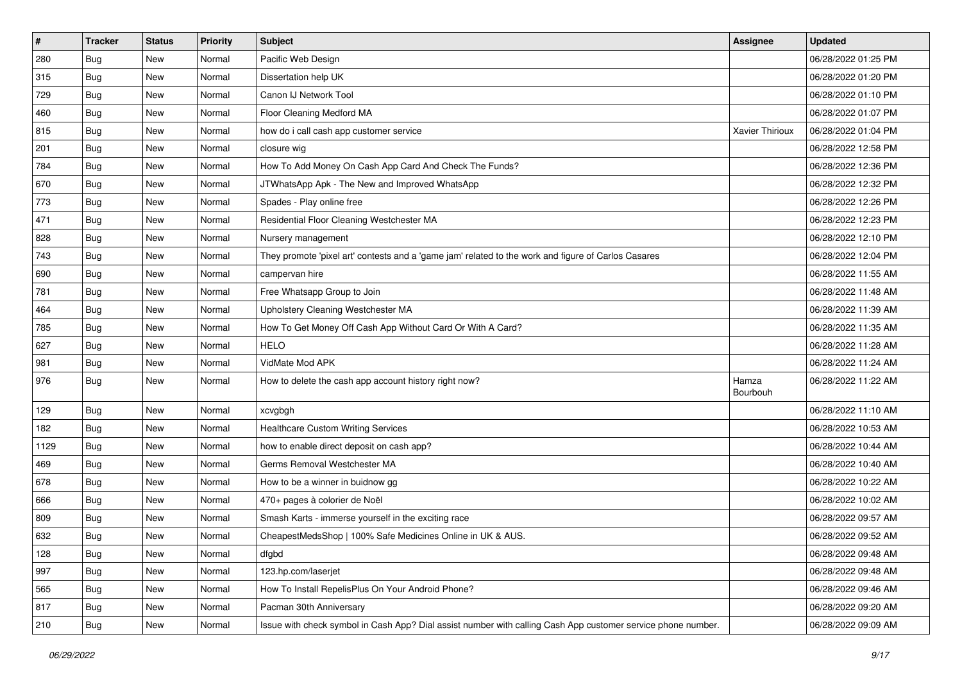| $\vert$ # | <b>Tracker</b> | <b>Status</b> | Priority | <b>Subject</b>                                                                                               | <b>Assignee</b>   | <b>Updated</b>      |
|-----------|----------------|---------------|----------|--------------------------------------------------------------------------------------------------------------|-------------------|---------------------|
| 280       | <b>Bug</b>     | New           | Normal   | Pacific Web Design                                                                                           |                   | 06/28/2022 01:25 PM |
| 315       | <b>Bug</b>     | New           | Normal   | Dissertation help UK                                                                                         |                   | 06/28/2022 01:20 PM |
| 729       | <b>Bug</b>     | New           | Normal   | Canon IJ Network Tool                                                                                        |                   | 06/28/2022 01:10 PM |
| 460       | <b>Bug</b>     | New           | Normal   | Floor Cleaning Medford MA                                                                                    |                   | 06/28/2022 01:07 PM |
| 815       | <b>Bug</b>     | <b>New</b>    | Normal   | how do i call cash app customer service                                                                      | Xavier Thirioux   | 06/28/2022 01:04 PM |
| 201       | <b>Bug</b>     | New           | Normal   | closure wig                                                                                                  |                   | 06/28/2022 12:58 PM |
| 784       | <b>Bug</b>     | New           | Normal   | How To Add Money On Cash App Card And Check The Funds?                                                       |                   | 06/28/2022 12:36 PM |
| 670       | <b>Bug</b>     | New           | Normal   | JTWhatsApp Apk - The New and Improved WhatsApp                                                               |                   | 06/28/2022 12:32 PM |
| 773       | <b>Bug</b>     | New           | Normal   | Spades - Play online free                                                                                    |                   | 06/28/2022 12:26 PM |
| 471       | Bug            | <b>New</b>    | Normal   | Residential Floor Cleaning Westchester MA                                                                    |                   | 06/28/2022 12:23 PM |
| 828       | <b>Bug</b>     | New           | Normal   | Nursery management                                                                                           |                   | 06/28/2022 12:10 PM |
| 743       | <b>Bug</b>     | New           | Normal   | They promote 'pixel art' contests and a 'game jam' related to the work and figure of Carlos Casares          |                   | 06/28/2022 12:04 PM |
| 690       | Bug            | <b>New</b>    | Normal   | campervan hire                                                                                               |                   | 06/28/2022 11:55 AM |
| 781       | <b>Bug</b>     | <b>New</b>    | Normal   | Free Whatsapp Group to Join                                                                                  |                   | 06/28/2022 11:48 AM |
| 464       | <b>Bug</b>     | New           | Normal   | Upholstery Cleaning Westchester MA                                                                           |                   | 06/28/2022 11:39 AM |
| 785       | Bug            | New           | Normal   | How To Get Money Off Cash App Without Card Or With A Card?                                                   |                   | 06/28/2022 11:35 AM |
| 627       | <b>Bug</b>     | New           | Normal   | <b>HELO</b>                                                                                                  |                   | 06/28/2022 11:28 AM |
| 981       | <b>Bug</b>     | <b>New</b>    | Normal   | VidMate Mod APK                                                                                              |                   | 06/28/2022 11:24 AM |
| 976       | <b>Bug</b>     | New           | Normal   | How to delete the cash app account history right now?                                                        | Hamza<br>Bourbouh | 06/28/2022 11:22 AM |
| 129       | Bug            | <b>New</b>    | Normal   | xcvgbgh                                                                                                      |                   | 06/28/2022 11:10 AM |
| 182       | <b>Bug</b>     | <b>New</b>    | Normal   | <b>Healthcare Custom Writing Services</b>                                                                    |                   | 06/28/2022 10:53 AM |
| 1129      | <b>Bug</b>     | <b>New</b>    | Normal   | how to enable direct deposit on cash app?                                                                    |                   | 06/28/2022 10:44 AM |
| 469       | <b>Bug</b>     | New           | Normal   | Germs Removal Westchester MA                                                                                 |                   | 06/28/2022 10:40 AM |
| 678       | <b>Bug</b>     | New           | Normal   | How to be a winner in buidnow gg                                                                             |                   | 06/28/2022 10:22 AM |
| 666       | <b>Bug</b>     | <b>New</b>    | Normal   | 470+ pages à colorier de Noël                                                                                |                   | 06/28/2022 10:02 AM |
| 809       | <b>Bug</b>     | New           | Normal   | Smash Karts - immerse yourself in the exciting race                                                          |                   | 06/28/2022 09:57 AM |
| 632       | <b>Bug</b>     | New           | Normal   | CheapestMedsShop   100% Safe Medicines Online in UK & AUS.                                                   |                   | 06/28/2022 09:52 AM |
| 128       | <b>Bug</b>     | New           | Normal   | dfgbd                                                                                                        |                   | 06/28/2022 09:48 AM |
| 997       | <b>Bug</b>     | New           | Normal   | 123.hp.com/laserjet                                                                                          |                   | 06/28/2022 09:48 AM |
| 565       | Bug            | New           | Normal   | How To Install RepelisPlus On Your Android Phone?                                                            |                   | 06/28/2022 09:46 AM |
| 817       | <b>Bug</b>     | New           | Normal   | Pacman 30th Anniversary                                                                                      |                   | 06/28/2022 09:20 AM |
| 210       | <b>Bug</b>     | New           | Normal   | Issue with check symbol in Cash App? Dial assist number with calling Cash App customer service phone number. |                   | 06/28/2022 09:09 AM |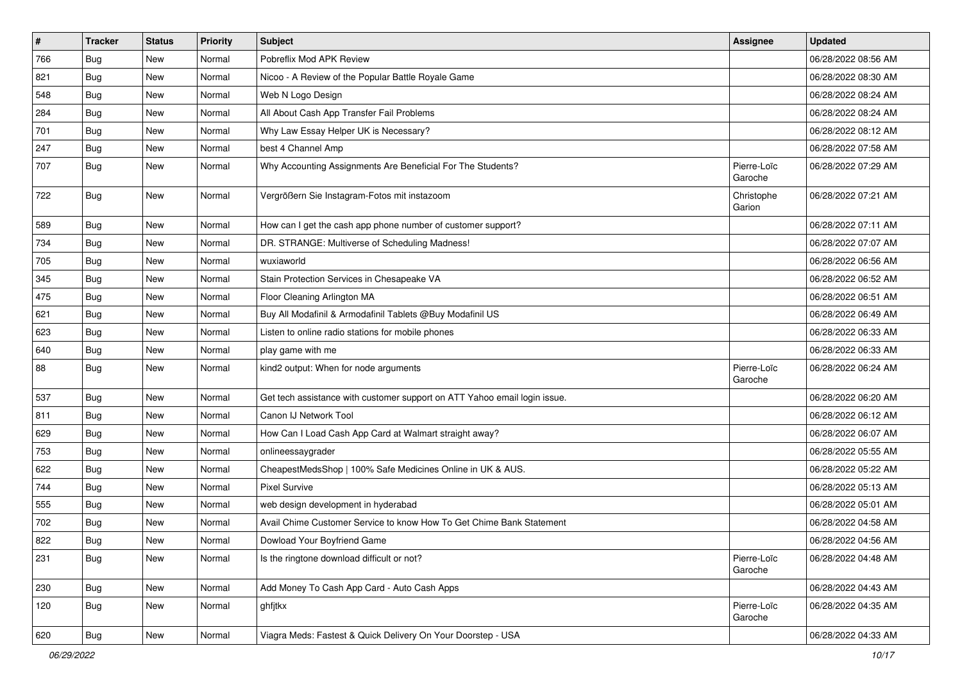| $\vert$ # | Tracker    | <b>Status</b> | Priority | <b>Subject</b>                                                            | <b>Assignee</b>        | <b>Updated</b>      |
|-----------|------------|---------------|----------|---------------------------------------------------------------------------|------------------------|---------------------|
| 766       | <b>Bug</b> | New           | Normal   | Pobreflix Mod APK Review                                                  |                        | 06/28/2022 08:56 AM |
| 821       | <b>Bug</b> | New           | Normal   | Nicoo - A Review of the Popular Battle Royale Game                        |                        | 06/28/2022 08:30 AM |
| 548       | <b>Bug</b> | New           | Normal   | Web N Logo Design                                                         |                        | 06/28/2022 08:24 AM |
| 284       | <b>Bug</b> | New           | Normal   | All About Cash App Transfer Fail Problems                                 |                        | 06/28/2022 08:24 AM |
| 701       | <b>Bug</b> | New           | Normal   | Why Law Essay Helper UK is Necessary?                                     |                        | 06/28/2022 08:12 AM |
| 247       | <b>Bug</b> | New           | Normal   | best 4 Channel Amp                                                        |                        | 06/28/2022 07:58 AM |
| 707       | <b>Bug</b> | New           | Normal   | Why Accounting Assignments Are Beneficial For The Students?               | Pierre-Loïc<br>Garoche | 06/28/2022 07:29 AM |
| 722       | <b>Bug</b> | New           | Normal   | Vergrößern Sie Instagram-Fotos mit instazoom                              | Christophe<br>Garion   | 06/28/2022 07:21 AM |
| 589       | Bug        | New           | Normal   | How can I get the cash app phone number of customer support?              |                        | 06/28/2022 07:11 AM |
| 734       | <b>Bug</b> | New           | Normal   | DR. STRANGE: Multiverse of Scheduling Madness!                            |                        | 06/28/2022 07:07 AM |
| 705       | Bug        | New           | Normal   | wuxiaworld                                                                |                        | 06/28/2022 06:56 AM |
| 345       | <b>Bug</b> | New           | Normal   | Stain Protection Services in Chesapeake VA                                |                        | 06/28/2022 06:52 AM |
| 475       | <b>Bug</b> | New           | Normal   | Floor Cleaning Arlington MA                                               |                        | 06/28/2022 06:51 AM |
| 621       | <b>Bug</b> | New           | Normal   | Buy All Modafinil & Armodafinil Tablets @Buy Modafinil US                 |                        | 06/28/2022 06:49 AM |
| 623       | <b>Bug</b> | New           | Normal   | Listen to online radio stations for mobile phones                         |                        | 06/28/2022 06:33 AM |
| 640       | Bug        | New           | Normal   | play game with me                                                         |                        | 06/28/2022 06:33 AM |
| 88        | Bug        | New           | Normal   | kind2 output: When for node arguments                                     | Pierre-Loïc<br>Garoche | 06/28/2022 06:24 AM |
| 537       | Bug        | <b>New</b>    | Normal   | Get tech assistance with customer support on ATT Yahoo email login issue. |                        | 06/28/2022 06:20 AM |
| 811       | <b>Bug</b> | New           | Normal   | Canon IJ Network Tool                                                     |                        | 06/28/2022 06:12 AM |
| 629       | <b>Bug</b> | New           | Normal   | How Can I Load Cash App Card at Walmart straight away?                    |                        | 06/28/2022 06:07 AM |
| 753       | Bug        | New           | Normal   | onlineessaygrader                                                         |                        | 06/28/2022 05:55 AM |
| 622       | <b>Bug</b> | New           | Normal   | CheapestMedsShop   100% Safe Medicines Online in UK & AUS.                |                        | 06/28/2022 05:22 AM |
| 744       | <b>Bug</b> | New           | Normal   | <b>Pixel Survive</b>                                                      |                        | 06/28/2022 05:13 AM |
| 555       | <b>Bug</b> | New           | Normal   | web design development in hyderabad                                       |                        | 06/28/2022 05:01 AM |
| 702       | <b>Bug</b> | New           | Normal   | Avail Chime Customer Service to know How To Get Chime Bank Statement      |                        | 06/28/2022 04:58 AM |
| 822       | Bug        | New           | Normal   | Dowload Your Boyfriend Game                                               |                        | 06/28/2022 04:56 AM |
| 231       | <b>Bug</b> | New           | Normal   | Is the ringtone download difficult or not?                                | Pierre-Loïc<br>Garoche | 06/28/2022 04:48 AM |
| 230       | <b>Bug</b> | New           | Normal   | Add Money To Cash App Card - Auto Cash Apps                               |                        | 06/28/2022 04:43 AM |
| 120       | <b>Bug</b> | New           | Normal   | ghfjtkx                                                                   | Pierre-Loïc<br>Garoche | 06/28/2022 04:35 AM |
| 620       | <b>Bug</b> | New           | Normal   | Viagra Meds: Fastest & Quick Delivery On Your Doorstep - USA              |                        | 06/28/2022 04:33 AM |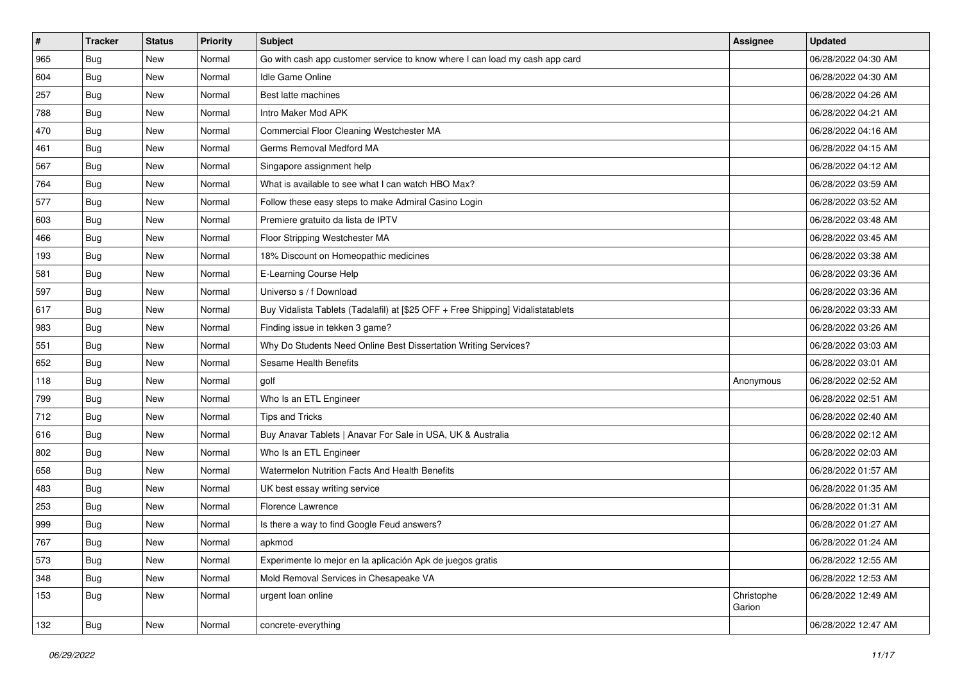| $\vert$ # | <b>Tracker</b> | <b>Status</b> | Priority | <b>Subject</b>                                                                   | <b>Assignee</b>      | <b>Updated</b>      |
|-----------|----------------|---------------|----------|----------------------------------------------------------------------------------|----------------------|---------------------|
| 965       | <b>Bug</b>     | New           | Normal   | Go with cash app customer service to know where I can load my cash app card      |                      | 06/28/2022 04:30 AM |
| 604       | <b>Bug</b>     | New           | Normal   | <b>Idle Game Online</b>                                                          |                      | 06/28/2022 04:30 AM |
| 257       | <b>Bug</b>     | New           | Normal   | Best latte machines                                                              |                      | 06/28/2022 04:26 AM |
| 788       | <b>Bug</b>     | New           | Normal   | Intro Maker Mod APK                                                              |                      | 06/28/2022 04:21 AM |
| 470       | <b>Bug</b>     | <b>New</b>    | Normal   | Commercial Floor Cleaning Westchester MA                                         |                      | 06/28/2022 04:16 AM |
| 461       | <b>Bug</b>     | New           | Normal   | Germs Removal Medford MA                                                         |                      | 06/28/2022 04:15 AM |
| 567       | <b>Bug</b>     | New           | Normal   | Singapore assignment help                                                        |                      | 06/28/2022 04:12 AM |
| 764       | <b>Bug</b>     | New           | Normal   | What is available to see what I can watch HBO Max?                               |                      | 06/28/2022 03:59 AM |
| 577       | <b>Bug</b>     | New           | Normal   | Follow these easy steps to make Admiral Casino Login                             |                      | 06/28/2022 03:52 AM |
| 603       | Bug            | <b>New</b>    | Normal   | Premiere gratuito da lista de IPTV                                               |                      | 06/28/2022 03:48 AM |
| 466       | <b>Bug</b>     | New           | Normal   | Floor Stripping Westchester MA                                                   |                      | 06/28/2022 03:45 AM |
| 193       | Bug            | New           | Normal   | 18% Discount on Homeopathic medicines                                            |                      | 06/28/2022 03:38 AM |
| 581       | Bug            | <b>New</b>    | Normal   | E-Learning Course Help                                                           |                      | 06/28/2022 03:36 AM |
| 597       | <b>Bug</b>     | New           | Normal   | Universo s / f Download                                                          |                      | 06/28/2022 03:36 AM |
| 617       | <b>Bug</b>     | New           | Normal   | Buy Vidalista Tablets (Tadalafil) at [\$25 OFF + Free Shipping] Vidalistatablets |                      | 06/28/2022 03:33 AM |
| 983       | Bug            | New           | Normal   | Finding issue in tekken 3 game?                                                  |                      | 06/28/2022 03:26 AM |
| 551       | <b>Bug</b>     | New           | Normal   | Why Do Students Need Online Best Dissertation Writing Services?                  |                      | 06/28/2022 03:03 AM |
| 652       | <b>Bug</b>     | <b>New</b>    | Normal   | Sesame Health Benefits                                                           |                      | 06/28/2022 03:01 AM |
| 118       | <b>Bug</b>     | New           | Normal   | golf                                                                             | Anonymous            | 06/28/2022 02:52 AM |
| 799       | <b>Bug</b>     | New           | Normal   | Who Is an ETL Engineer                                                           |                      | 06/28/2022 02:51 AM |
| 712       | <b>Bug</b>     | New           | Normal   | <b>Tips and Tricks</b>                                                           |                      | 06/28/2022 02:40 AM |
| 616       | <b>Bug</b>     | New           | Normal   | Buy Anavar Tablets   Anavar For Sale in USA, UK & Australia                      |                      | 06/28/2022 02:12 AM |
| 802       | Bug            | <b>New</b>    | Normal   | Who Is an ETL Engineer                                                           |                      | 06/28/2022 02:03 AM |
| 658       | Bug            | New           | Normal   | Watermelon Nutrition Facts And Health Benefits                                   |                      | 06/28/2022 01:57 AM |
| 483       | <b>Bug</b>     | New           | Normal   | UK best essay writing service                                                    |                      | 06/28/2022 01:35 AM |
| 253       | Bug            | New           | Normal   | Florence Lawrence                                                                |                      | 06/28/2022 01:31 AM |
| 999       | <b>Bug</b>     | New           | Normal   | Is there a way to find Google Feud answers?                                      |                      | 06/28/2022 01:27 AM |
| 767       | <b>Bug</b>     | New           | Normal   | apkmod                                                                           |                      | 06/28/2022 01:24 AM |
| 573       | <b>Bug</b>     | New           | Normal   | Experimente lo mejor en la aplicación Apk de juegos gratis                       |                      | 06/28/2022 12:55 AM |
| 348       | <b>Bug</b>     | New           | Normal   | Mold Removal Services in Chesapeake VA                                           |                      | 06/28/2022 12:53 AM |
| 153       | Bug            | New           | Normal   | urgent loan online                                                               | Christophe<br>Garion | 06/28/2022 12:49 AM |
| 132       | <b>Bug</b>     | New           | Normal   | concrete-everything                                                              |                      | 06/28/2022 12:47 AM |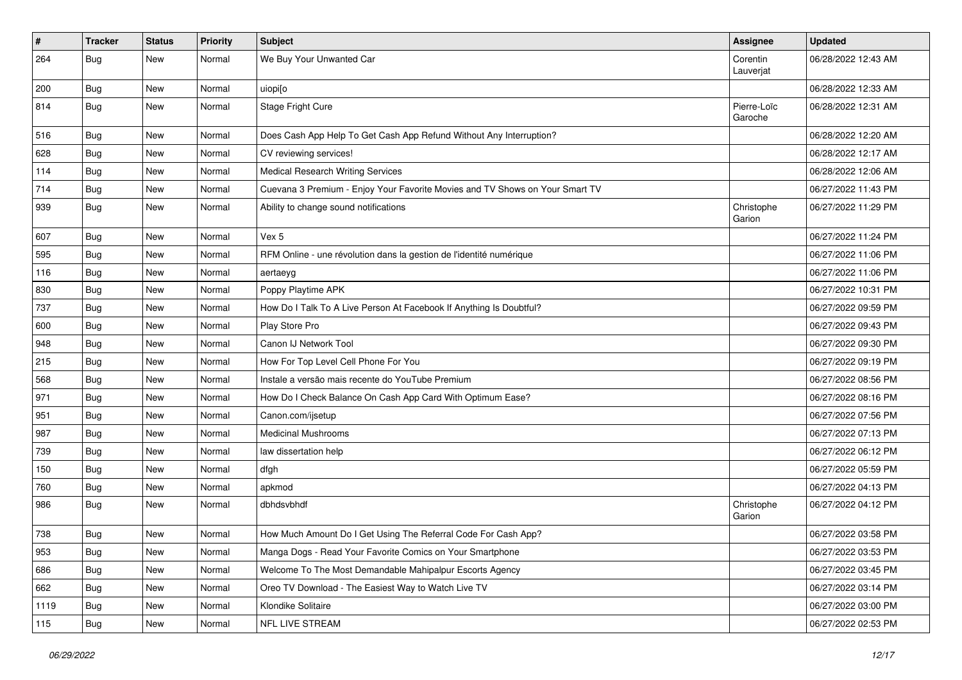| $\vert$ # | <b>Tracker</b> | <b>Status</b> | Priority | <b>Subject</b>                                                               | <b>Assignee</b>        | <b>Updated</b>      |
|-----------|----------------|---------------|----------|------------------------------------------------------------------------------|------------------------|---------------------|
| 264       | Bug            | New           | Normal   | We Buy Your Unwanted Car                                                     | Corentin<br>Lauverjat  | 06/28/2022 12:43 AM |
| 200       | <b>Bug</b>     | New           | Normal   | uiopi[o                                                                      |                        | 06/28/2022 12:33 AM |
| 814       | <b>Bug</b>     | New           | Normal   | <b>Stage Fright Cure</b>                                                     | Pierre-Loïc<br>Garoche | 06/28/2022 12:31 AM |
| 516       | Bug            | New           | Normal   | Does Cash App Help To Get Cash App Refund Without Any Interruption?          |                        | 06/28/2022 12:20 AM |
| 628       | Bug            | New           | Normal   | CV reviewing services!                                                       |                        | 06/28/2022 12:17 AM |
| 114       | <b>Bug</b>     | New           | Normal   | <b>Medical Research Writing Services</b>                                     |                        | 06/28/2022 12:06 AM |
| 714       | Bug            | New           | Normal   | Cuevana 3 Premium - Enjoy Your Favorite Movies and TV Shows on Your Smart TV |                        | 06/27/2022 11:43 PM |
| 939       | Bug            | New           | Normal   | Ability to change sound notifications                                        | Christophe<br>Garion   | 06/27/2022 11:29 PM |
| 607       | <b>Bug</b>     | New           | Normal   | Vex 5                                                                        |                        | 06/27/2022 11:24 PM |
| 595       | <b>Bug</b>     | New           | Normal   | RFM Online - une révolution dans la gestion de l'identité numérique          |                        | 06/27/2022 11:06 PM |
| 116       | <b>Bug</b>     | New           | Normal   | aertaeyg                                                                     |                        | 06/27/2022 11:06 PM |
| 830       | Bug            | New           | Normal   | Poppy Playtime APK                                                           |                        | 06/27/2022 10:31 PM |
| 737       | <b>Bug</b>     | New           | Normal   | How Do I Talk To A Live Person At Facebook If Anything Is Doubtful?          |                        | 06/27/2022 09:59 PM |
| 600       | <b>Bug</b>     | New           | Normal   | Play Store Pro                                                               |                        | 06/27/2022 09:43 PM |
| 948       | Bug            | New           | Normal   | Canon IJ Network Tool                                                        |                        | 06/27/2022 09:30 PM |
| 215       | <b>Bug</b>     | New           | Normal   | How For Top Level Cell Phone For You                                         |                        | 06/27/2022 09:19 PM |
| 568       | <b>Bug</b>     | New           | Normal   | Instale a versão mais recente do YouTube Premium                             |                        | 06/27/2022 08:56 PM |
| 971       | Bug            | <b>New</b>    | Normal   | How Do I Check Balance On Cash App Card With Optimum Ease?                   |                        | 06/27/2022 08:16 PM |
| 951       | <b>Bug</b>     | New           | Normal   | Canon.com/ijsetup                                                            |                        | 06/27/2022 07:56 PM |
| 987       | <b>Bug</b>     | New           | Normal   | <b>Medicinal Mushrooms</b>                                                   |                        | 06/27/2022 07:13 PM |
| 739       | Bug            | New           | Normal   | law dissertation help                                                        |                        | 06/27/2022 06:12 PM |
| 150       | <b>Bug</b>     | New           | Normal   | dfgh                                                                         |                        | 06/27/2022 05:59 PM |
| 760       | <b>Bug</b>     | New           | Normal   | apkmod                                                                       |                        | 06/27/2022 04:13 PM |
| 986       | <b>Bug</b>     | New           | Normal   | dbhdsvbhdf                                                                   | Christophe<br>Garion   | 06/27/2022 04:12 PM |
| 738       | <b>Bug</b>     | New           | Normal   | How Much Amount Do I Get Using The Referral Code For Cash App?               |                        | 06/27/2022 03:58 PM |
| 953       | <b>Bug</b>     | New           | Normal   | Manga Dogs - Read Your Favorite Comics on Your Smartphone                    |                        | 06/27/2022 03:53 PM |
| 686       | Bug            | New           | Normal   | Welcome To The Most Demandable Mahipalpur Escorts Agency                     |                        | 06/27/2022 03:45 PM |
| 662       | <b>Bug</b>     | New           | Normal   | Oreo TV Download - The Easiest Way to Watch Live TV                          |                        | 06/27/2022 03:14 PM |
| 1119      | <b>Bug</b>     | New           | Normal   | Klondike Solitaire                                                           |                        | 06/27/2022 03:00 PM |
| 115       | Bug            | New           | Normal   | NFL LIVE STREAM                                                              |                        | 06/27/2022 02:53 PM |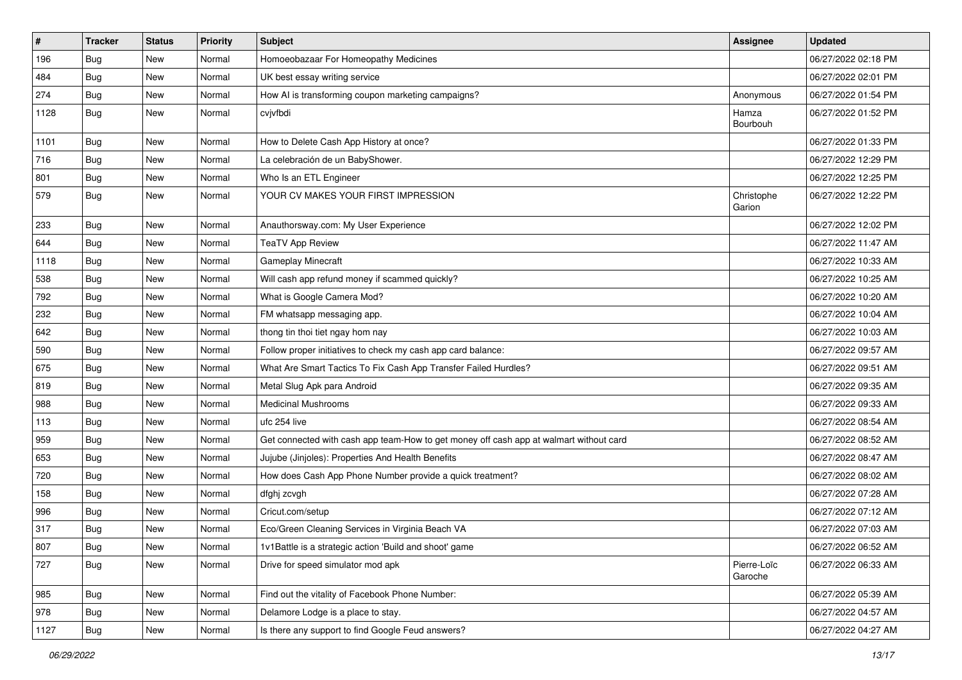| $\vert$ # | <b>Tracker</b> | <b>Status</b> | Priority | <b>Subject</b>                                                                         | <b>Assignee</b>        | <b>Updated</b>      |
|-----------|----------------|---------------|----------|----------------------------------------------------------------------------------------|------------------------|---------------------|
| 196       | <b>Bug</b>     | New           | Normal   | Homoeobazaar For Homeopathy Medicines                                                  |                        | 06/27/2022 02:18 PM |
| 484       | <b>Bug</b>     | <b>New</b>    | Normal   | UK best essay writing service                                                          |                        | 06/27/2022 02:01 PM |
| 274       | <b>Bug</b>     | New           | Normal   | How AI is transforming coupon marketing campaigns?                                     | Anonymous              | 06/27/2022 01:54 PM |
| 1128      | <b>Bug</b>     | New           | Normal   | cvjvfbdi                                                                               | Hamza<br>Bourbouh      | 06/27/2022 01:52 PM |
| 1101      | <b>Bug</b>     | New           | Normal   | How to Delete Cash App History at once?                                                |                        | 06/27/2022 01:33 PM |
| 716       | <b>Bug</b>     | New           | Normal   | La celebración de un BabyShower.                                                       |                        | 06/27/2022 12:29 PM |
| 801       | <b>Bug</b>     | New           | Normal   | Who Is an ETL Engineer                                                                 |                        | 06/27/2022 12:25 PM |
| 579       | <b>Bug</b>     | New           | Normal   | YOUR CV MAKES YOUR FIRST IMPRESSION                                                    | Christophe<br>Garion   | 06/27/2022 12:22 PM |
| 233       | <b>Bug</b>     | New           | Normal   | Anauthorsway.com: My User Experience                                                   |                        | 06/27/2022 12:02 PM |
| 644       | <b>Bug</b>     | New           | Normal   | TeaTV App Review                                                                       |                        | 06/27/2022 11:47 AM |
| 1118      | Bug            | <b>New</b>    | Normal   | Gameplay Minecraft                                                                     |                        | 06/27/2022 10:33 AM |
| 538       | <b>Bug</b>     | New           | Normal   | Will cash app refund money if scammed quickly?                                         |                        | 06/27/2022 10:25 AM |
| 792       | <b>Bug</b>     | New           | Normal   | What is Google Camera Mod?                                                             |                        | 06/27/2022 10:20 AM |
| 232       | <b>Bug</b>     | New           | Normal   | FM whatsapp messaging app.                                                             |                        | 06/27/2022 10:04 AM |
| 642       | <b>Bug</b>     | New           | Normal   | thong tin thoi tiet ngay hom nay                                                       |                        | 06/27/2022 10:03 AM |
| 590       | Bug            | <b>New</b>    | Normal   | Follow proper initiatives to check my cash app card balance:                           |                        | 06/27/2022 09:57 AM |
| 675       | <b>Bug</b>     | New           | Normal   | What Are Smart Tactics To Fix Cash App Transfer Failed Hurdles?                        |                        | 06/27/2022 09:51 AM |
| 819       | Bug            | <b>New</b>    | Normal   | Metal Slug Apk para Android                                                            |                        | 06/27/2022 09:35 AM |
| 988       | <b>Bug</b>     | New           | Normal   | <b>Medicinal Mushrooms</b>                                                             |                        | 06/27/2022 09:33 AM |
| 113       | <b>Bug</b>     | New           | Normal   | ufc 254 live                                                                           |                        | 06/27/2022 08:54 AM |
| 959       | Bug            | <b>New</b>    | Normal   | Get connected with cash app team-How to get money off cash app at walmart without card |                        | 06/27/2022 08:52 AM |
| 653       | <b>Bug</b>     | New           | Normal   | Jujube (Jinjoles): Properties And Health Benefits                                      |                        | 06/27/2022 08:47 AM |
| 720       | <b>Bug</b>     | New           | Normal   | How does Cash App Phone Number provide a quick treatment?                              |                        | 06/27/2022 08:02 AM |
| 158       | <b>Bug</b>     | <b>New</b>    | Normal   | dfghj zcvgh                                                                            |                        | 06/27/2022 07:28 AM |
| 996       | <b>Bug</b>     | New           | Normal   | Cricut.com/setup                                                                       |                        | 06/27/2022 07:12 AM |
| 317       | <b>Bug</b>     | New           | Normal   | Eco/Green Cleaning Services in Virginia Beach VA                                       |                        | 06/27/2022 07:03 AM |
| 807       | Bug            | New           | Normal   | 1v1Battle is a strategic action 'Build and shoot' game                                 |                        | 06/27/2022 06:52 AM |
| 727       | <b>Bug</b>     | New           | Normal   | Drive for speed simulator mod apk                                                      | Pierre-Loïc<br>Garoche | 06/27/2022 06:33 AM |
| 985       | Bug            | New           | Normal   | Find out the vitality of Facebook Phone Number:                                        |                        | 06/27/2022 05:39 AM |
| 978       | <b>Bug</b>     | New           | Normal   | Delamore Lodge is a place to stay.                                                     |                        | 06/27/2022 04:57 AM |
| 1127      | <b>Bug</b>     | New           | Normal   | Is there any support to find Google Feud answers?                                      |                        | 06/27/2022 04:27 AM |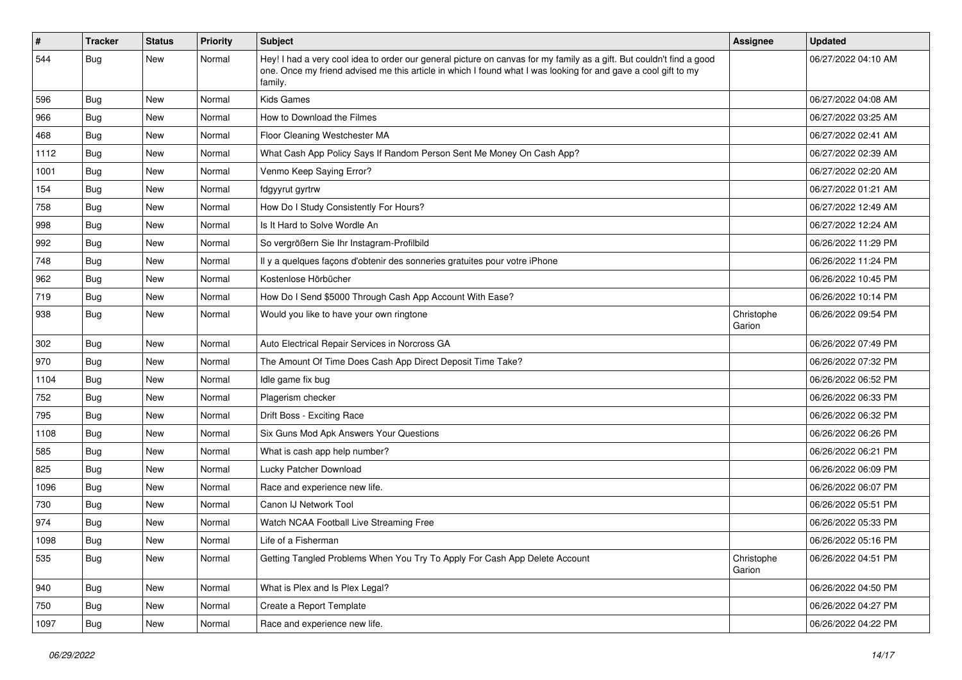| $\vert$ # | <b>Tracker</b> | <b>Status</b> | Priority | <b>Subject</b>                                                                                                                                                                                                                                    | Assignee             | <b>Updated</b>      |
|-----------|----------------|---------------|----------|---------------------------------------------------------------------------------------------------------------------------------------------------------------------------------------------------------------------------------------------------|----------------------|---------------------|
| 544       | <b>Bug</b>     | New           | Normal   | Hey! I had a very cool idea to order our general picture on canvas for my family as a gift. But couldn't find a good<br>one. Once my friend advised me this article in which I found what I was looking for and gave a cool gift to my<br>family. |                      | 06/27/2022 04:10 AM |
| 596       | Bug            | New           | Normal   | <b>Kids Games</b>                                                                                                                                                                                                                                 |                      | 06/27/2022 04:08 AM |
| 966       | Bug            | New           | Normal   | How to Download the Filmes                                                                                                                                                                                                                        |                      | 06/27/2022 03:25 AM |
| 468       | <b>Bug</b>     | New           | Normal   | Floor Cleaning Westchester MA                                                                                                                                                                                                                     |                      | 06/27/2022 02:41 AM |
| 1112      | Bug            | New           | Normal   | What Cash App Policy Says If Random Person Sent Me Money On Cash App?                                                                                                                                                                             |                      | 06/27/2022 02:39 AM |
| 1001      | Bug            | New           | Normal   | Venmo Keep Saying Error?                                                                                                                                                                                                                          |                      | 06/27/2022 02:20 AM |
| 154       | Bug            | New           | Normal   | fdgyyrut gyrtrw                                                                                                                                                                                                                                   |                      | 06/27/2022 01:21 AM |
| 758       | <b>Bug</b>     | New           | Normal   | How Do I Study Consistently For Hours?                                                                                                                                                                                                            |                      | 06/27/2022 12:49 AM |
| 998       | <b>Bug</b>     | New           | Normal   | Is It Hard to Solve Wordle An                                                                                                                                                                                                                     |                      | 06/27/2022 12:24 AM |
| 992       | <b>Bug</b>     | New           | Normal   | So vergrößern Sie Ihr Instagram-Profilbild                                                                                                                                                                                                        |                      | 06/26/2022 11:29 PM |
| 748       | Bug            | <b>New</b>    | Normal   | Il y a quelques façons d'obtenir des sonneries gratuites pour votre iPhone                                                                                                                                                                        |                      | 06/26/2022 11:24 PM |
| 962       | <b>Bug</b>     | New           | Normal   | Kostenlose Hörbücher                                                                                                                                                                                                                              |                      | 06/26/2022 10:45 PM |
| 719       | <b>Bug</b>     | New           | Normal   | How Do I Send \$5000 Through Cash App Account With Ease?                                                                                                                                                                                          |                      | 06/26/2022 10:14 PM |
| 938       | Bug            | New           | Normal   | Would you like to have your own ringtone                                                                                                                                                                                                          | Christophe<br>Garion | 06/26/2022 09:54 PM |
| 302       | Bug            | New           | Normal   | Auto Electrical Repair Services in Norcross GA                                                                                                                                                                                                    |                      | 06/26/2022 07:49 PM |
| 970       | Bug            | New           | Normal   | The Amount Of Time Does Cash App Direct Deposit Time Take?                                                                                                                                                                                        |                      | 06/26/2022 07:32 PM |
| 1104      | <b>Bug</b>     | New           | Normal   | Idle game fix bug                                                                                                                                                                                                                                 |                      | 06/26/2022 06:52 PM |
| 752       | Bug            | New           | Normal   | Plagerism checker                                                                                                                                                                                                                                 |                      | 06/26/2022 06:33 PM |
| 795       | <b>Bug</b>     | New           | Normal   | Drift Boss - Exciting Race                                                                                                                                                                                                                        |                      | 06/26/2022 06:32 PM |
| 1108      | <b>Bug</b>     | New           | Normal   | Six Guns Mod Apk Answers Your Questions                                                                                                                                                                                                           |                      | 06/26/2022 06:26 PM |
| 585       | Bug            | New           | Normal   | What is cash app help number?                                                                                                                                                                                                                     |                      | 06/26/2022 06:21 PM |
| 825       | <b>Bug</b>     | New           | Normal   | Lucky Patcher Download                                                                                                                                                                                                                            |                      | 06/26/2022 06:09 PM |
| 1096      | Bug            | <b>New</b>    | Normal   | Race and experience new life.                                                                                                                                                                                                                     |                      | 06/26/2022 06:07 PM |
| 730       | <b>Bug</b>     | New           | Normal   | Canon IJ Network Tool                                                                                                                                                                                                                             |                      | 06/26/2022 05:51 PM |
| 974       | <b>Bug</b>     | New           | Normal   | Watch NCAA Football Live Streaming Free                                                                                                                                                                                                           |                      | 06/26/2022 05:33 PM |
| 1098      | <b>Bug</b>     | New           | Normal   | Life of a Fisherman                                                                                                                                                                                                                               |                      | 06/26/2022 05:16 PM |
| 535       | <b>Bug</b>     | New           | Normal   | Getting Tangled Problems When You Try To Apply For Cash App Delete Account                                                                                                                                                                        | Christophe<br>Garion | 06/26/2022 04:51 PM |
| 940       | <b>Bug</b>     | New           | Normal   | What is Plex and Is Plex Legal?                                                                                                                                                                                                                   |                      | 06/26/2022 04:50 PM |
| 750       | <b>Bug</b>     | New           | Normal   | Create a Report Template                                                                                                                                                                                                                          |                      | 06/26/2022 04:27 PM |
| 1097      | <b>Bug</b>     | New           | Normal   | Race and experience new life.                                                                                                                                                                                                                     |                      | 06/26/2022 04:22 PM |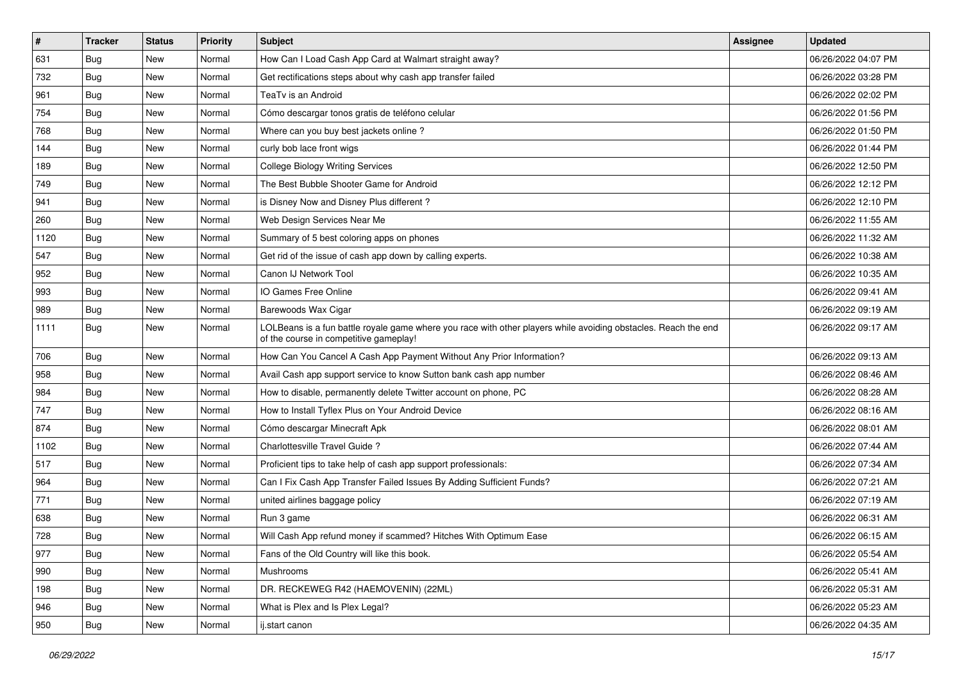| $\vert$ # | <b>Tracker</b> | <b>Status</b> | Priority | <b>Subject</b>                                                                                                                                           | <b>Assignee</b> | <b>Updated</b>      |
|-----------|----------------|---------------|----------|----------------------------------------------------------------------------------------------------------------------------------------------------------|-----------------|---------------------|
| 631       | Bug            | New           | Normal   | How Can I Load Cash App Card at Walmart straight away?                                                                                                   |                 | 06/26/2022 04:07 PM |
| 732       | Bug            | <b>New</b>    | Normal   | Get rectifications steps about why cash app transfer failed                                                                                              |                 | 06/26/2022 03:28 PM |
| 961       | <b>Bug</b>     | New           | Normal   | TeaTv is an Android                                                                                                                                      |                 | 06/26/2022 02:02 PM |
| 754       | Bug            | New           | Normal   | Cómo descargar tonos gratis de teléfono celular                                                                                                          |                 | 06/26/2022 01:56 PM |
| 768       | <b>Bug</b>     | New           | Normal   | Where can you buy best jackets online?                                                                                                                   |                 | 06/26/2022 01:50 PM |
| 144       | Bug            | New           | Normal   | curly bob lace front wigs                                                                                                                                |                 | 06/26/2022 01:44 PM |
| 189       | Bug            | New           | Normal   | <b>College Biology Writing Services</b>                                                                                                                  |                 | 06/26/2022 12:50 PM |
| 749       | Bug            | New           | Normal   | The Best Bubble Shooter Game for Android                                                                                                                 |                 | 06/26/2022 12:12 PM |
| 941       | <b>Bug</b>     | New           | Normal   | is Disney Now and Disney Plus different?                                                                                                                 |                 | 06/26/2022 12:10 PM |
| 260       | Bug            | <b>New</b>    | Normal   | Web Design Services Near Me                                                                                                                              |                 | 06/26/2022 11:55 AM |
| 1120      | <b>Bug</b>     | New           | Normal   | Summary of 5 best coloring apps on phones                                                                                                                |                 | 06/26/2022 11:32 AM |
| 547       | Bug            | New           | Normal   | Get rid of the issue of cash app down by calling experts.                                                                                                |                 | 06/26/2022 10:38 AM |
| 952       | <b>Bug</b>     | New           | Normal   | Canon IJ Network Tool                                                                                                                                    |                 | 06/26/2022 10:35 AM |
| 993       | <b>Bug</b>     | New           | Normal   | IO Games Free Online                                                                                                                                     |                 | 06/26/2022 09:41 AM |
| 989       | Bug            | <b>New</b>    | Normal   | Barewoods Wax Cigar                                                                                                                                      |                 | 06/26/2022 09:19 AM |
| 1111      | Bug            | New           | Normal   | LOLBeans is a fun battle royale game where you race with other players while avoiding obstacles. Reach the end<br>of the course in competitive gameplay! |                 | 06/26/2022 09:17 AM |
| 706       | Bug            | <b>New</b>    | Normal   | How Can You Cancel A Cash App Payment Without Any Prior Information?                                                                                     |                 | 06/26/2022 09:13 AM |
| 958       | <b>Bug</b>     | New           | Normal   | Avail Cash app support service to know Sutton bank cash app number                                                                                       |                 | 06/26/2022 08:46 AM |
| 984       | Bug            | New           | Normal   | How to disable, permanently delete Twitter account on phone, PC                                                                                          |                 | 06/26/2022 08:28 AM |
| 747       | Bug            | New           | Normal   | How to Install Tyflex Plus on Your Android Device                                                                                                        |                 | 06/26/2022 08:16 AM |
| 874       | <b>Bug</b>     | New           | Normal   | Cómo descargar Minecraft Apk                                                                                                                             |                 | 06/26/2022 08:01 AM |
| 1102      | Bug            | <b>New</b>    | Normal   | Charlottesville Travel Guide?                                                                                                                            |                 | 06/26/2022 07:44 AM |
| 517       | <b>Bug</b>     | New           | Normal   | Proficient tips to take help of cash app support professionals:                                                                                          |                 | 06/26/2022 07:34 AM |
| 964       | <b>Bug</b>     | New           | Normal   | Can I Fix Cash App Transfer Failed Issues By Adding Sufficient Funds?                                                                                    |                 | 06/26/2022 07:21 AM |
| 771       | <b>Bug</b>     | New           | Normal   | united airlines baggage policy                                                                                                                           |                 | 06/26/2022 07:19 AM |
| 638       | Bug            | New           | Normal   | Run 3 game                                                                                                                                               |                 | 06/26/2022 06:31 AM |
| 728       | <b>Bug</b>     | New           | Normal   | Will Cash App refund money if scammed? Hitches With Optimum Ease                                                                                         |                 | 06/26/2022 06:15 AM |
| 977       | Bug            | New           | Normal   | Fans of the Old Country will like this book.                                                                                                             |                 | 06/26/2022 05:54 AM |
| 990       | <b>Bug</b>     | New           | Normal   | Mushrooms                                                                                                                                                |                 | 06/26/2022 05:41 AM |
| 198       | Bug            | New           | Normal   | DR. RECKEWEG R42 (HAEMOVENIN) (22ML)                                                                                                                     |                 | 06/26/2022 05:31 AM |
| 946       | <b>Bug</b>     | New           | Normal   | What is Plex and Is Plex Legal?                                                                                                                          |                 | 06/26/2022 05:23 AM |
| 950       | <b>Bug</b>     | New           | Normal   | ij.start canon                                                                                                                                           |                 | 06/26/2022 04:35 AM |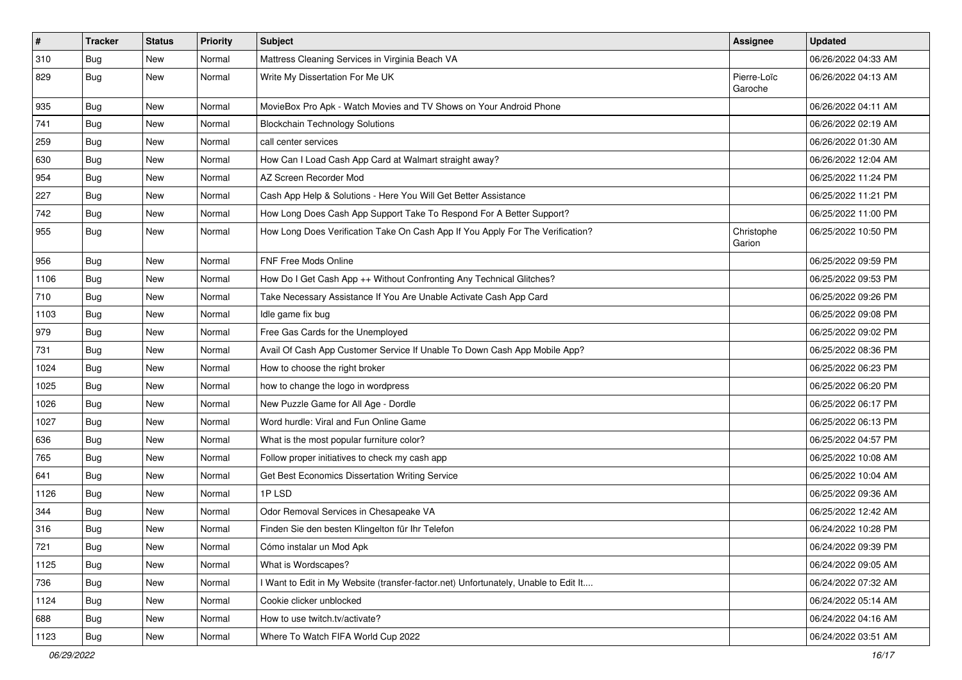| $\vert$ # | <b>Tracker</b> | <b>Status</b> | <b>Priority</b> | <b>Subject</b>                                                                      | <b>Assignee</b>        | <b>Updated</b>      |
|-----------|----------------|---------------|-----------------|-------------------------------------------------------------------------------------|------------------------|---------------------|
| 310       | <b>Bug</b>     | New           | Normal          | Mattress Cleaning Services in Virginia Beach VA                                     |                        | 06/26/2022 04:33 AM |
| 829       | <b>Bug</b>     | New           | Normal          | Write My Dissertation For Me UK                                                     | Pierre-Loïc<br>Garoche | 06/26/2022 04:13 AM |
| 935       | Bug            | New           | Normal          | MovieBox Pro Apk - Watch Movies and TV Shows on Your Android Phone                  |                        | 06/26/2022 04:11 AM |
| 741       | Bug            | <b>New</b>    | Normal          | <b>Blockchain Technology Solutions</b>                                              |                        | 06/26/2022 02:19 AM |
| 259       | Bug            | New           | Normal          | call center services                                                                |                        | 06/26/2022 01:30 AM |
| 630       | Bug            | New           | Normal          | How Can I Load Cash App Card at Walmart straight away?                              |                        | 06/26/2022 12:04 AM |
| 954       | Bug            | New           | Normal          | AZ Screen Recorder Mod                                                              |                        | 06/25/2022 11:24 PM |
| 227       | <b>Bug</b>     | New           | Normal          | Cash App Help & Solutions - Here You Will Get Better Assistance                     |                        | 06/25/2022 11:21 PM |
| 742       | <b>Bug</b>     | <b>New</b>    | Normal          | How Long Does Cash App Support Take To Respond For A Better Support?                |                        | 06/25/2022 11:00 PM |
| 955       | Bug            | New           | Normal          | How Long Does Verification Take On Cash App If You Apply For The Verification?      | Christophe<br>Garion   | 06/25/2022 10:50 PM |
| 956       | Bug            | New           | Normal          | FNF Free Mods Online                                                                |                        | 06/25/2022 09:59 PM |
| 1106      | <b>Bug</b>     | New           | Normal          | How Do I Get Cash App ++ Without Confronting Any Technical Glitches?                |                        | 06/25/2022 09:53 PM |
| 710       | Bug            | New           | Normal          | Take Necessary Assistance If You Are Unable Activate Cash App Card                  |                        | 06/25/2022 09:26 PM |
| 1103      | Bug            | New           | Normal          | Idle game fix bug                                                                   |                        | 06/25/2022 09:08 PM |
| 979       | <b>Bug</b>     | New           | Normal          | Free Gas Cards for the Unemployed                                                   |                        | 06/25/2022 09:02 PM |
| 731       | Bug            | New           | Normal          | Avail Of Cash App Customer Service If Unable To Down Cash App Mobile App?           |                        | 06/25/2022 08:36 PM |
| 1024      | Bug            | New           | Normal          | How to choose the right broker                                                      |                        | 06/25/2022 06:23 PM |
| 1025      | <b>Bug</b>     | New           | Normal          | how to change the logo in wordpress                                                 |                        | 06/25/2022 06:20 PM |
| 1026      | Bug            | New           | Normal          | New Puzzle Game for All Age - Dordle                                                |                        | 06/25/2022 06:17 PM |
| 1027      | <b>Bug</b>     | New           | Normal          | Word hurdle: Viral and Fun Online Game                                              |                        | 06/25/2022 06:13 PM |
| 636       | <b>Bug</b>     | <b>New</b>    | Normal          | What is the most popular furniture color?                                           |                        | 06/25/2022 04:57 PM |
| 765       | <b>Bug</b>     | New           | Normal          | Follow proper initiatives to check my cash app                                      |                        | 06/25/2022 10:08 AM |
| 641       | <b>Bug</b>     | New           | Normal          | Get Best Economics Dissertation Writing Service                                     |                        | 06/25/2022 10:04 AM |
| 1126      | Bug            | <b>New</b>    | Normal          | 1PLSD                                                                               |                        | 06/25/2022 09:36 AM |
| 344       | <b>Bug</b>     | New           | Normal          | Odor Removal Services in Chesapeake VA                                              |                        | 06/25/2022 12:42 AM |
| 316       | Bug            | <b>New</b>    | Normal          | Finden Sie den besten Klingelton für Ihr Telefon                                    |                        | 06/24/2022 10:28 PM |
| 721       | Bug            | New           | Normal          | Cómo instalar un Mod Apk                                                            |                        | 06/24/2022 09:39 PM |
| 1125      | Bug            | New           | Normal          | What is Wordscapes?                                                                 |                        | 06/24/2022 09:05 AM |
| 736       | Bug            | New           | Normal          | I Want to Edit in My Website (transfer-factor.net) Unfortunately, Unable to Edit It |                        | 06/24/2022 07:32 AM |
| 1124      | <b>Bug</b>     | New           | Normal          | Cookie clicker unblocked                                                            |                        | 06/24/2022 05:14 AM |
| 688       | Bug            | New           | Normal          | How to use twitch.tv/activate?                                                      |                        | 06/24/2022 04:16 AM |
| 1123      | <b>Bug</b>     | New           | Normal          | Where To Watch FIFA World Cup 2022                                                  |                        | 06/24/2022 03:51 AM |